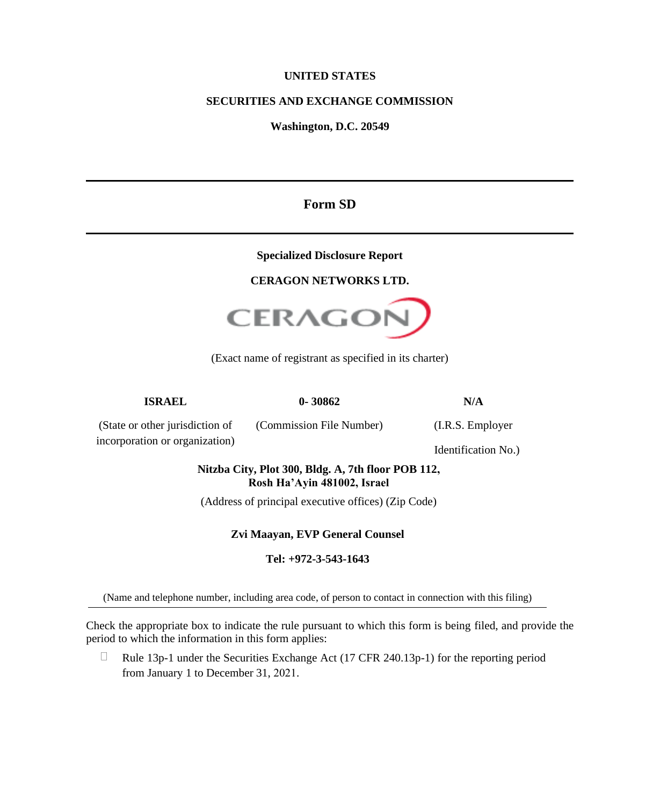### **UNITED STATES**

## **SECURITIES AND EXCHANGE COMMISSION**

**Washington, D.C. 20549**

## **Form SD**

#### **Specialized Disclosure Report**

#### **CERAGON NETWORKS LTD.**



(Exact name of registrant as specified in its charter)

(Commission File Number) (I.R.S. Employer

**ISRAEL 0- 30862 N/A**

(State or other jurisdiction of incorporation or organization)

Identification No.)

## **Nitzba City, Plot 300, Bldg. A, 7th floor POB 112, Rosh Ha'Ayin 481002, Israel**

(Address of principal executive offices) (Zip Code)

## **Zvi Maayan, EVP General Counsel**

## **Tel: +972-3-543-1643**

(Name and telephone number, including area code, of person to contact in connection with this filing)

Check the appropriate box to indicate the rule pursuant to which this form is being filed, and provide the period to which the information in this form applies:

 $\Box$ Rule 13p-1 under the Securities Exchange Act (17 CFR 240.13p-1) for the reporting period from January 1 to December 31, 2021.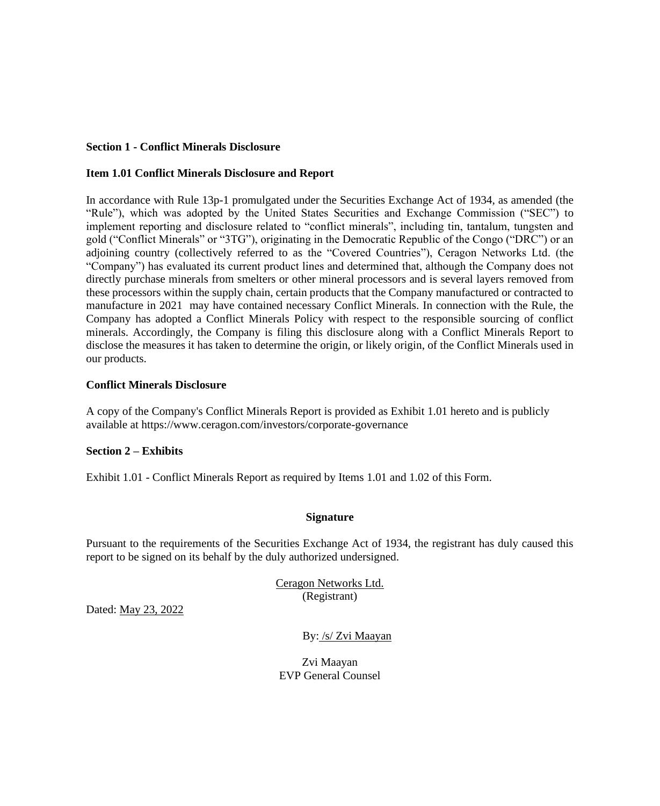#### **Section 1 - Conflict Minerals Disclosure**

#### **Item 1.01 Conflict Minerals Disclosure and Report**

In accordance with Rule 13p-1 promulgated under the Securities Exchange Act of 1934, as amended (the "Rule"), which was adopted by the United States Securities and Exchange Commission ("SEC") to implement reporting and disclosure related to "conflict minerals", including tin, tantalum, tungsten and gold ("Conflict Minerals" or "3TG"), originating in the Democratic Republic of the Congo ("DRC") or an adjoining country (collectively referred to as the "Covered Countries"), Ceragon Networks Ltd. (the "Company") has evaluated its current product lines and determined that, although the Company does not directly purchase minerals from smelters or other mineral processors and is several layers removed from these processors within the supply chain, certain products that the Company manufactured or contracted to manufacture in 2021 may have contained necessary Conflict Minerals. In connection with the Rule, the Company has adopted a Conflict Minerals Policy with respect to the responsible sourcing of conflict minerals. Accordingly, the Company is filing this disclosure along with a Conflict Minerals Report to disclose the measures it has taken to determine the origin, or likely origin, of the Conflict Minerals used in our products.

#### **Conflict Minerals Disclosure**

A copy of the Company's Conflict Minerals Report is provided as Exhibit 1.01 hereto and is publicly available at<https://www.ceragon.com/investors/corporate-governance>

#### **Section 2 – Exhibits**

Exhibit 1.01 - Conflict Minerals Report as required by Items 1.01 and 1.02 of this Form.

#### **Signature**

Pursuant to the requirements of the Securities Exchange Act of 1934, the registrant has duly caused this report to be signed on its behalf by the duly authorized undersigned.

> Ceragon Networks Ltd. (Registrant)

Dated: May 23, 2022

By: /s/ Zvi Maayan

Zvi Maayan EVP General Counsel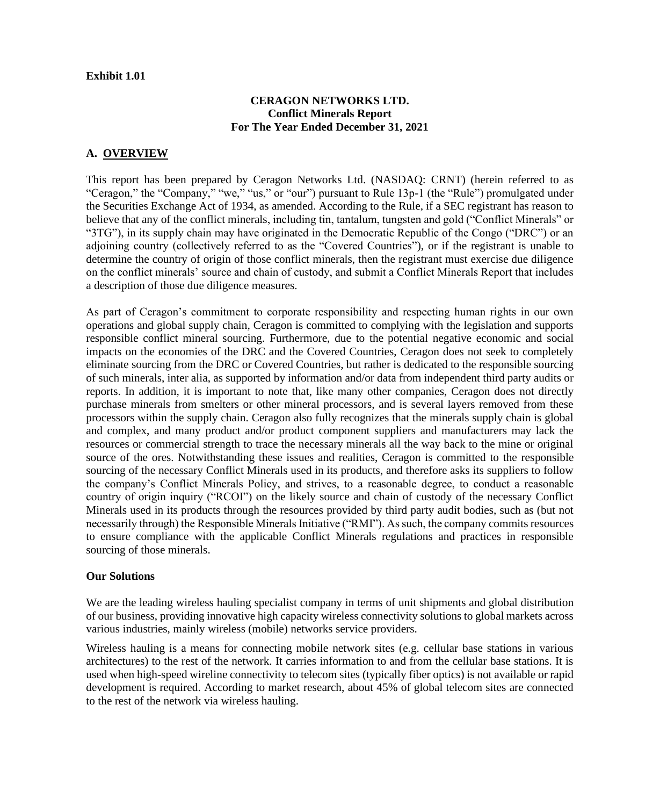#### **Exhibit 1.01**

### **CERAGON NETWORKS LTD. Conflict Minerals Report For The Year Ended December 31, 2021**

## **A. OVERVIEW**

This report has been prepared by Ceragon Networks Ltd. (NASDAQ: CRNT) (herein referred to as "Ceragon," the "Company," "we," "us," or "our") pursuant to Rule 13p-1 (the "Rule") promulgated under the Securities Exchange Act of 1934, as amended. According to the Rule, if a SEC registrant has reason to believe that any of the conflict minerals, including tin, tantalum, tungsten and gold ("Conflict Minerals" or "3TG"), in its supply chain may have originated in the Democratic Republic of the Congo ("DRC") or an adjoining country (collectively referred to as the "Covered Countries"), or if the registrant is unable to determine the country of origin of those conflict minerals, then the registrant must exercise due diligence on the conflict minerals' source and chain of custody, and submit a Conflict Minerals Report that includes a description of those due diligence measures.

As part of Ceragon's commitment to corporate responsibility and respecting human rights in our own operations and global supply chain, Ceragon is committed to complying with the legislation and supports responsible conflict mineral sourcing. Furthermore, due to the potential negative economic and social impacts on the economies of the DRC and the Covered Countries, Ceragon does not seek to completely eliminate sourcing from the DRC or Covered Countries, but rather is dedicated to the responsible sourcing of such minerals, inter alia, as supported by information and/or data from independent third party audits or reports. In addition, it is important to note that, like many other companies, Ceragon does not directly purchase minerals from smelters or other mineral processors, and is several layers removed from these processors within the supply chain. Ceragon also fully recognizes that the minerals supply chain is global and complex, and many product and/or product component suppliers and manufacturers may lack the resources or commercial strength to trace the necessary minerals all the way back to the mine or original source of the ores. Notwithstanding these issues and realities, Ceragon is committed to the responsible sourcing of the necessary Conflict Minerals used in its products, and therefore asks its suppliers to follow the company's Conflict Minerals Policy, and strives, to a reasonable degree, to conduct a reasonable country of origin inquiry ("RCOI") on the likely source and chain of custody of the necessary Conflict Minerals used in its products through the resources provided by third party audit bodies, such as (but not necessarily through) the Responsible Minerals Initiative ("RMI"). As such, the company commits resources to ensure compliance with the applicable Conflict Minerals regulations and practices in responsible sourcing of those minerals.

#### **Our Solutions**

We are the leading wireless hauling specialist company in terms of unit shipments and global distribution of our business, providing innovative high capacity wireless connectivity solutions to global markets across various industries, mainly wireless (mobile) networks service providers.

Wireless hauling is a means for connecting mobile network sites (e.g. cellular base stations in various architectures) to the rest of the network. It carries information to and from the cellular base stations. It is used when high-speed wireline connectivity to telecom sites (typically fiber optics) is not available or rapid development is required. According to market research, about 45% of global telecom sites are connected to the rest of the network via wireless hauling.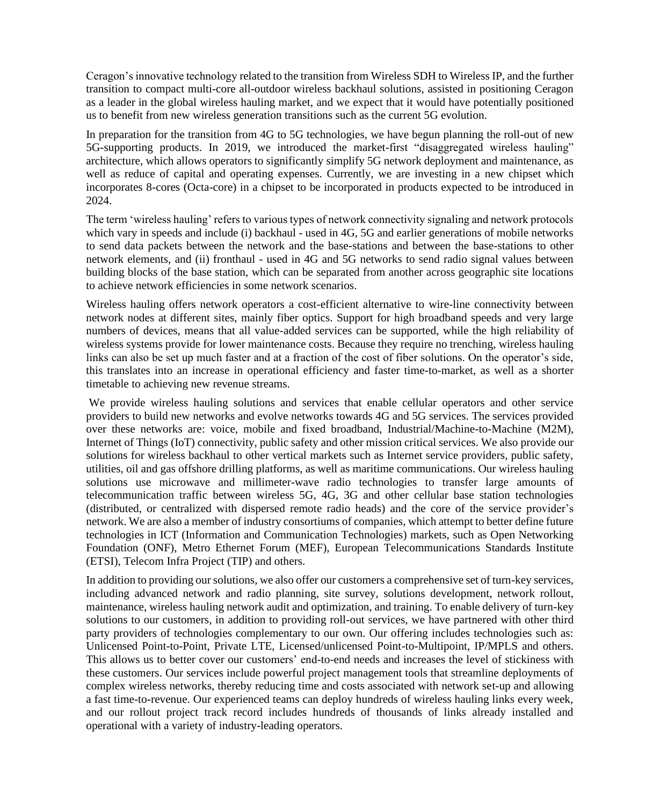Ceragon's innovative technology related to the transition from Wireless SDH to Wireless IP, and the further transition to compact multi-core all-outdoor wireless backhaul solutions, assisted in positioning Ceragon as a leader in the global wireless hauling market, and we expect that it would have potentially positioned us to benefit from new wireless generation transitions such as the current 5G evolution.

In preparation for the transition from 4G to 5G technologies, we have begun planning the roll-out of new 5G-supporting products. In 2019, we introduced the market-first "disaggregated wireless hauling" architecture, which allows operators to significantly simplify 5G network deployment and maintenance, as well as reduce of capital and operating expenses. Currently, we are investing in a new chipset which incorporates 8-cores (Octa-core) in a chipset to be incorporated in products expected to be introduced in 2024.

The term 'wireless hauling' refers to various types of network connectivity signaling and network protocols which vary in speeds and include (i) backhaul - used in 4G, 5G and earlier generations of mobile networks to send data packets between the network and the base-stations and between the base-stations to other network elements, and (ii) fronthaul - used in 4G and 5G networks to send radio signal values between building blocks of the base station, which can be separated from another across geographic site locations to achieve network efficiencies in some network scenarios.

Wireless hauling offers network operators a cost-efficient alternative to wire-line connectivity between network nodes at different sites, mainly fiber optics. Support for high broadband speeds and very large numbers of devices, means that all value-added services can be supported, while the high reliability of wireless systems provide for lower maintenance costs. Because they require no trenching, wireless hauling links can also be set up much faster and at a fraction of the cost of fiber solutions. On the operator's side, this translates into an increase in operational efficiency and faster time-to-market, as well as a shorter timetable to achieving new revenue streams.

We provide wireless hauling solutions and services that enable cellular operators and other service providers to build new networks and evolve networks towards 4G and 5G services. The services provided over these networks are: voice, mobile and fixed broadband, Industrial/Machine-to-Machine (M2M), Internet of Things (IoT) connectivity, public safety and other mission critical services. We also provide our solutions for wireless backhaul to other vertical markets such as Internet service providers, public safety, utilities, oil and gas offshore drilling platforms, as well as maritime communications. Our wireless hauling solutions use microwave and millimeter-wave radio technologies to transfer large amounts of telecommunication traffic between wireless 5G, 4G, 3G and other cellular base station technologies (distributed, or centralized with dispersed remote radio heads) and the core of the service provider's network. We are also a member of industry consortiums of companies, which attempt to better define future technologies in ICT (Information and Communication Technologies) markets, such as Open Networking Foundation (ONF), Metro Ethernet Forum (MEF), European Telecommunications Standards Institute (ETSI), Telecom Infra Project (TIP) and others.

In addition to providing our solutions, we also offer our customers a comprehensive set of turn-key services, including advanced network and radio planning, site survey, solutions development, network rollout, maintenance, wireless hauling network audit and optimization, and training. To enable delivery of turn-key solutions to our customers, in addition to providing roll-out services, we have partnered with other third party providers of technologies complementary to our own. Our offering includes technologies such as: Unlicensed Point-to-Point, Private LTE, Licensed/unlicensed Point-to-Multipoint, IP/MPLS and others. This allows us to better cover our customers' end-to-end needs and increases the level of stickiness with these customers. Our services include powerful project management tools that streamline deployments of complex wireless networks, thereby reducing time and costs associated with network set-up and allowing a fast time-to-revenue. Our experienced teams can deploy hundreds of wireless hauling links every week, and our rollout project track record includes hundreds of thousands of links already installed and operational with a variety of industry-leading operators.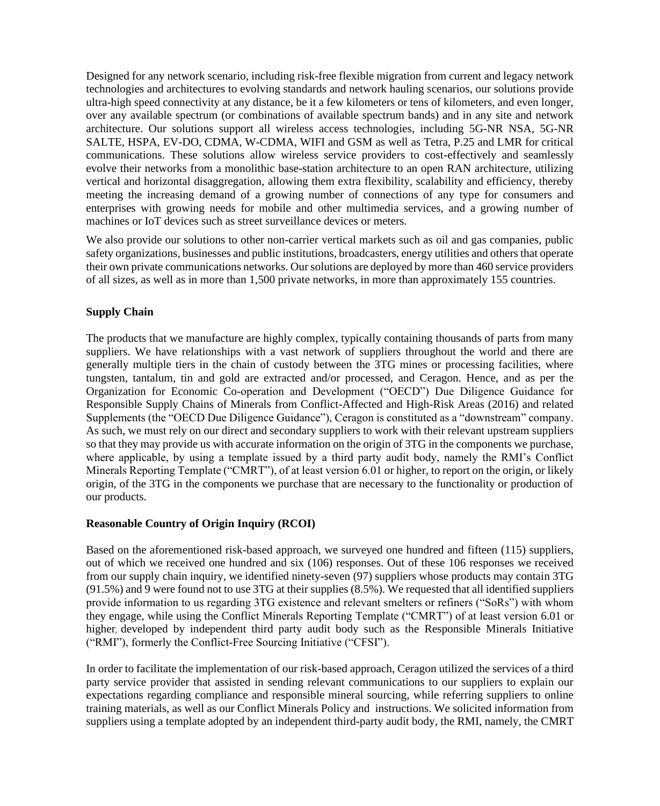Designed for any network scenario, including risk-free flexible migration from current and legacy network technologies and architectures to evolving standards and network hauling scenarios, our solutions provide ultra-high speed connectivity at any distance, be it a few kilometers or tens of kilometers, and even longer, over any available spectrum (or combinations of available spectrum bands) and in any site and network architecture. Our solutions support all wireless access technologies, including 5G-NR NSA, 5G-NR SALTE, HSPA, EV-DO, CDMA, W-CDMA, WIFI and GSM as well as Tetra, P.25 and LMR for critical communications. These solutions allow wireless service providers to cost-effectively and seamlessly evolve their networks from a monolithic base-station architecture to an open RAN architecture, utilizing vertical and horizontal disaggregation, allowing them extra flexibility, scalability and efficiency, thereby meeting the increasing demand of a growing number of connections of any type for consumers and enterprises with growing needs for mobile and other multimedia services, and a growing number of machines or IoT devices such as street surveillance devices or meters.

We also provide our solutions to other non-carrier vertical markets such as oil and gas companies, public safety organizations, businesses and public institutions, broadcasters, energy utilities and others that operate their own private communications networks. Our solutions are deployed by more than 460 service providers of all sizes, as well as in more than 1,500 private networks, in more than approximately 155 countries.

#### **Supply Chain**

The products that we manufacture are highly complex, typically containing thousands of parts from many suppliers. We have relationships with a vast network of suppliers throughout the world and there are generally multiple tiers in the chain of custody between the 3TG mines or processing facilities, where tungsten, tantalum, tin and gold are extracted and/or processed, and Ceragon. Hence, and as per the Organization for Economic Co-operation and Development ("OECD") Due Diligence Guidance for Responsible Supply Chains of Minerals from Conflict-Affected and High-Risk Areas (2016) and related Supplements (the "OECD Due Diligence Guidance"), Ceragon is constituted as a "downstream" company. As such, we must rely on our direct and secondary suppliers to work with their relevant upstream suppliers so that they may provide us with accurate information on the origin of 3TG in the components we purchase, where applicable, by using a template issued by a third party audit body, namely the RMI's Conflict Minerals Reporting Template ("CMRT"), of at least version 6.01 or higher, to report on the origin, or likely origin, of the 3TG in the components we purchase that are necessary to the functionality or production of our products.

#### **Reasonable Country of Origin Inquiry (RCOI)**

Based on the aforementioned risk-based approach, we surveyed one hundred and fifteen (115) suppliers, out of which we received one hundred and six (106) responses. Out of these 106 responses we received from our supply chain inquiry, we identified ninety-seven (97) suppliers whose products may contain 3TG (91.5%) and 9 were found not to use 3TG at their supplies (8.5%). We requested that all identified suppliers provide information to us regarding 3TG existence and relevant smelters or refiners ("SoRs") with whom they engage, while using the Conflict Minerals Reporting Template ("CMRT") of at least version 6.01 or higher, developed by independent third party audit body such as the Responsible Minerals Initiative ("RMI"), formerly the Conflict-Free Sourcing Initiative ("CFSI").

In order to facilitate the implementation of our risk-based approach, Ceragon utilized the services of a third party service provider that assisted in sending relevant communications to our suppliers to explain our expectations regarding compliance and responsible mineral sourcing, while referring suppliers to online training materials, as well as our Conflict Minerals Policy and instructions. We solicited information from suppliers using a template adopted by an independent third-party audit body, the RMI, namely, the CMRT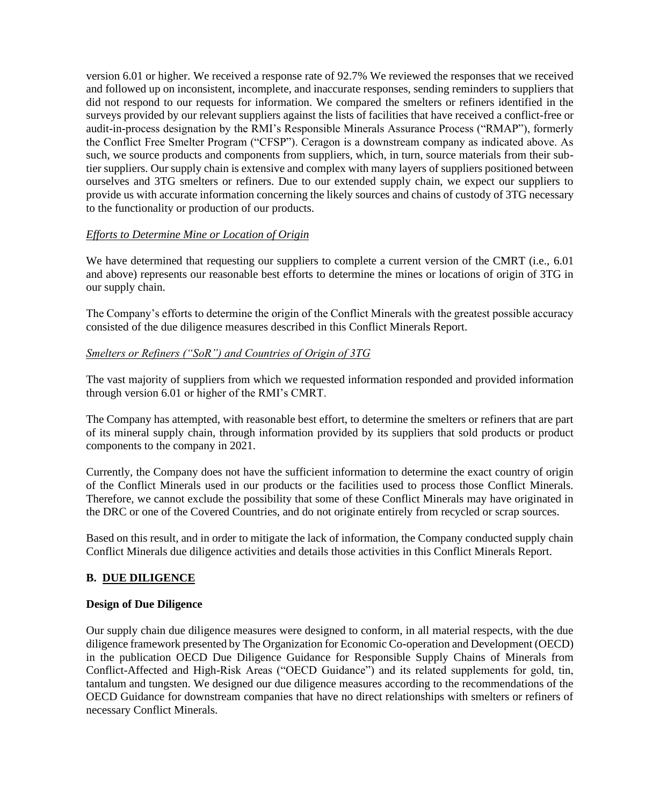version 6.01 or higher. We received a response rate of 92.7% We reviewed the responses that we received and followed up on inconsistent, incomplete, and inaccurate responses, sending reminders to suppliers that did not respond to our requests for information. We compared the smelters or refiners identified in the surveys provided by our relevant suppliers against the lists of facilities that have received a conflict-free or audit-in-process designation by the RMI's Responsible Minerals Assurance Process ("RMAP"), formerly the Conflict Free Smelter Program ("CFSP"). Ceragon is a downstream company as indicated above. As such, we source products and components from suppliers, which, in turn, source materials from their subtier suppliers. Our supply chain is extensive and complex with many layers of suppliers positioned between ourselves and 3TG smelters or refiners. Due to our extended supply chain, we expect our suppliers to provide us with accurate information concerning the likely sources and chains of custody of 3TG necessary to the functionality or production of our products.

## *Efforts to Determine Mine or Location of Origin*

We have determined that requesting our suppliers to complete a current version of the CMRT (i.e., 6.01 and above) represents our reasonable best efforts to determine the mines or locations of origin of 3TG in our supply chain.

The Company's efforts to determine the origin of the Conflict Minerals with the greatest possible accuracy consisted of the due diligence measures described in this Conflict Minerals Report.

## *Smelters or Refiners ("SoR") and Countries of Origin of 3TG*

The vast majority of suppliers from which we requested information responded and provided information through version 6.01 or higher of the RMI's CMRT.

The Company has attempted, with reasonable best effort, to determine the smelters or refiners that are part of its mineral supply chain, through information provided by its suppliers that sold products or product components to the company in 2021.

Currently, the Company does not have the sufficient information to determine the exact country of origin of the Conflict Minerals used in our products or the facilities used to process those Conflict Minerals. Therefore, we cannot exclude the possibility that some of these Conflict Minerals may have originated in the DRC or one of the Covered Countries, and do not originate entirely from recycled or scrap sources.

Based on this result, and in order to mitigate the lack of information, the Company conducted supply chain Conflict Minerals due diligence activities and details those activities in this Conflict Minerals Report.

## **B. DUE DILIGENCE**

#### **Design of Due Diligence**

Our supply chain due diligence measures were designed to conform, in all material respects, with the due diligence framework presented by The Organization for Economic Co-operation and Development (OECD) in the publication OECD Due Diligence Guidance for Responsible Supply Chains of Minerals from Conflict-Affected and High-Risk Areas ("OECD Guidance") and its related supplements for gold, tin, tantalum and tungsten. We designed our due diligence measures according to the recommendations of the OECD Guidance for downstream companies that have no direct relationships with smelters or refiners of necessary Conflict Minerals.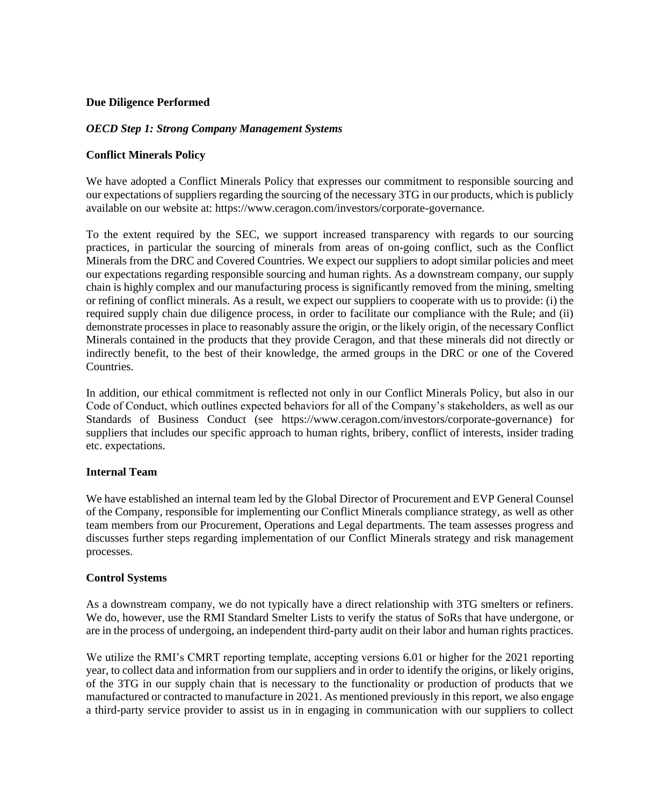#### **Due Diligence Performed**

#### *OECD Step 1: Strong Company Management Systems*

#### **Conflict Minerals Policy**

We have adopted a Conflict Minerals Policy that expresses our commitment to responsible sourcing and our expectations of suppliers regarding the sourcing of the necessary 3TG in our products, which is publicly available on our website at: [https://www.ceragon.com/investors/corporate-governance.](https://www.ceragon.com/investors/corporate-governance)

To the extent required by the SEC, we support increased transparency with regards to our sourcing practices, in particular the sourcing of minerals from areas of on-going conflict, such as the Conflict Minerals from the DRC and Covered Countries. We expect our suppliers to adopt similar policies and meet our expectations regarding responsible sourcing and human rights. As a downstream company, our supply chain is highly complex and our manufacturing process is significantly removed from the mining, smelting or refining of conflict minerals. As a result, we expect our suppliers to cooperate with us to provide: (i) the required supply chain due diligence process, in order to facilitate our compliance with the Rule; and (ii) demonstrate processes in place to reasonably assure the origin, or the likely origin, of the necessary Conflict Minerals contained in the products that they provide Ceragon, and that these minerals did not directly or indirectly benefit, to the best of their knowledge, the armed groups in the DRC or one of the Covered Countries.

In addition, our ethical commitment is reflected not only in our Conflict Minerals Policy, but also in our Code of Conduct, which outlines expected behaviors for all of the Company's stakeholders, as well as our Standards of Business Conduct (see [https://www.ceragon.com/investors/corporate-governance\)](https://www.ceragon.com/investors/corporate-governance) for suppliers that includes our specific approach to human rights, bribery, conflict of interests, insider trading etc. expectations.

#### **Internal Team**

We have established an internal team led by the Global Director of Procurement and EVP General Counsel of the Company, responsible for implementing our Conflict Minerals compliance strategy, as well as other team members from our Procurement, Operations and Legal departments. The team assesses progress and discusses further steps regarding implementation of our Conflict Minerals strategy and risk management processes.

#### **Control Systems**

As a downstream company, we do not typically have a direct relationship with 3TG smelters or refiners. We do, however, use the RMI Standard Smelter Lists to verify the status of SoRs that have undergone, or are in the process of undergoing, an independent third-party audit on their labor and human rights practices.

We utilize the RMI's CMRT reporting template, accepting versions 6.01 or higher for the 2021 reporting year, to collect data and information from our suppliers and in order to identify the origins, or likely origins, of the 3TG in our supply chain that is necessary to the functionality or production of products that we manufactured or contracted to manufacture in 2021. As mentioned previously in this report, we also engage a third-party service provider to assist us in in engaging in communication with our suppliers to collect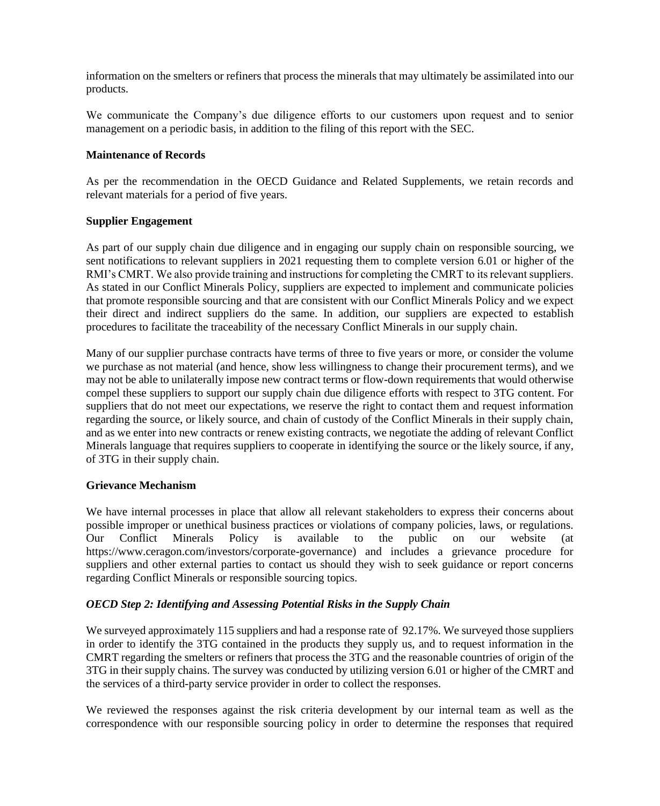information on the smelters or refiners that process the minerals that may ultimately be assimilated into our products.

We communicate the Company's due diligence efforts to our customers upon request and to senior management on a periodic basis, in addition to the filing of this report with the SEC.

## **Maintenance of Records**

As per the recommendation in the OECD Guidance and Related Supplements, we retain records and relevant materials for a period of five years.

## **Supplier Engagement**

As part of our supply chain due diligence and in engaging our supply chain on responsible sourcing, we sent notifications to relevant suppliers in 2021 requesting them to complete version 6.01 or higher of the RMI's CMRT. We also provide training and instructions for completing the CMRT to its relevant suppliers. As stated in our Conflict Minerals Policy, suppliers are expected to implement and communicate policies that promote responsible sourcing and that are consistent with our Conflict Minerals Policy and we expect their direct and indirect suppliers do the same. In addition, our suppliers are expected to establish procedures to facilitate the traceability of the necessary Conflict Minerals in our supply chain.

Many of our supplier purchase contracts have terms of three to five years or more, or consider the volume we purchase as not material (and hence, show less willingness to change their procurement terms), and we may not be able to unilaterally impose new contract terms or flow-down requirements that would otherwise compel these suppliers to support our supply chain due diligence efforts with respect to 3TG content. For suppliers that do not meet our expectations, we reserve the right to contact them and request information regarding the source, or likely source, and chain of custody of the Conflict Minerals in their supply chain, and as we enter into new contracts or renew existing contracts, we negotiate the adding of relevant Conflict Minerals language that requires suppliers to cooperate in identifying the source or the likely source, if any, of 3TG in their supply chain.

#### **Grievance Mechanism**

We have internal processes in place that allow all relevant stakeholders to express their concerns about possible improper or unethical business practices or violations of company policies, laws, or regulations. Our Conflict Minerals Policy is available to the public on our website (at [https://www.ceragon.com/investors/corporate-governance\)](https://www.ceragon.com/investors/corporate-governance) and includes a grievance procedure for suppliers and other external parties to contact us should they wish to seek guidance or report concerns regarding Conflict Minerals or responsible sourcing topics.

## *OECD Step 2: Identifying and Assessing Potential Risks in the Supply Chain*

We surveyed approximately 115 suppliers and had a response rate of 92.17%. We surveyed those suppliers in order to identify the 3TG contained in the products they supply us, and to request information in the CMRT regarding the smelters or refiners that process the 3TG and the reasonable countries of origin of the 3TG in their supply chains. The survey was conducted by utilizing version 6.01 or higher of the CMRT and the services of a third-party service provider in order to collect the responses.

We reviewed the responses against the risk criteria development by our internal team as well as the correspondence with our responsible sourcing policy in order to determine the responses that required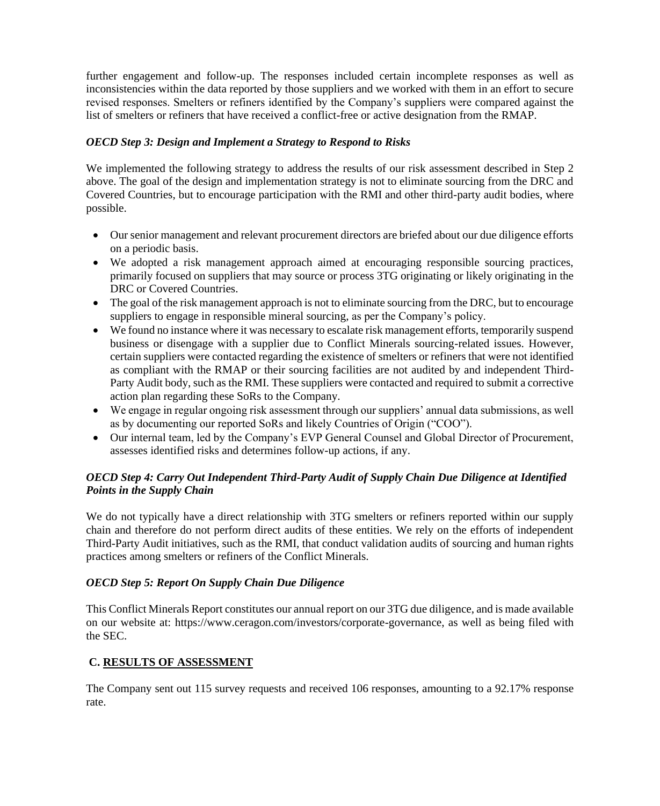further engagement and follow-up. The responses included certain incomplete responses as well as inconsistencies within the data reported by those suppliers and we worked with them in an effort to secure revised responses. Smelters or refiners identified by the Company's suppliers were compared against the list of smelters or refiners that have received a conflict-free or active designation from the RMAP.

## *OECD Step 3: Design and Implement a Strategy to Respond to Risks*

We implemented the following strategy to address the results of our risk assessment described in Step 2 above. The goal of the design and implementation strategy is not to eliminate sourcing from the DRC and Covered Countries, but to encourage participation with the RMI and other third-party audit bodies, where possible.

- Our senior management and relevant procurement directors are briefed about our due diligence efforts on a periodic basis.
- We adopted a risk management approach aimed at encouraging responsible sourcing practices, primarily focused on suppliers that may source or process 3TG originating or likely originating in the DRC or Covered Countries.
- The goal of the risk management approach is not to eliminate sourcing from the DRC, but to encourage suppliers to engage in responsible mineral sourcing, as per the Company's policy.
- We found no instance where it was necessary to escalate risk management efforts, temporarily suspend business or disengage with a supplier due to Conflict Minerals sourcing-related issues. However, certain suppliers were contacted regarding the existence of smelters or refiners that were not identified as compliant with the RMAP or their sourcing facilities are not audited by and independent Third-Party Audit body, such as the RMI. These suppliers were contacted and required to submit a corrective action plan regarding these SoRs to the Company.
- We engage in regular ongoing risk assessment through our suppliers' annual data submissions, as well as by documenting our reported SoRs and likely Countries of Origin ("COO").
- Our internal team, led by the Company's EVP General Counsel and Global Director of Procurement, assesses identified risks and determines follow-up actions, if any.

# *OECD Step 4: Carry Out Independent Third-Party Audit of Supply Chain Due Diligence at Identified Points in the Supply Chain*

We do not typically have a direct relationship with 3TG smelters or refiners reported within our supply chain and therefore do not perform direct audits of these entities. We rely on the efforts of independent Third-Party Audit initiatives, such as the RMI, that conduct validation audits of sourcing and human rights practices among smelters or refiners of the Conflict Minerals.

# *OECD Step 5: Report On Supply Chain Due Diligence*

This Conflict Minerals Report constitutes our annual report on our 3TG due diligence, and is made available on our website at: [https://www.ceragon.com/investors/corporate-governance,](https://www.ceragon.com/investors/corporate-governance) as well as being filed with the SEC.

# **C. RESULTS OF ASSESSMENT**

The Company sent out 115 survey requests and received 106 responses, amounting to a 92.17% response rate.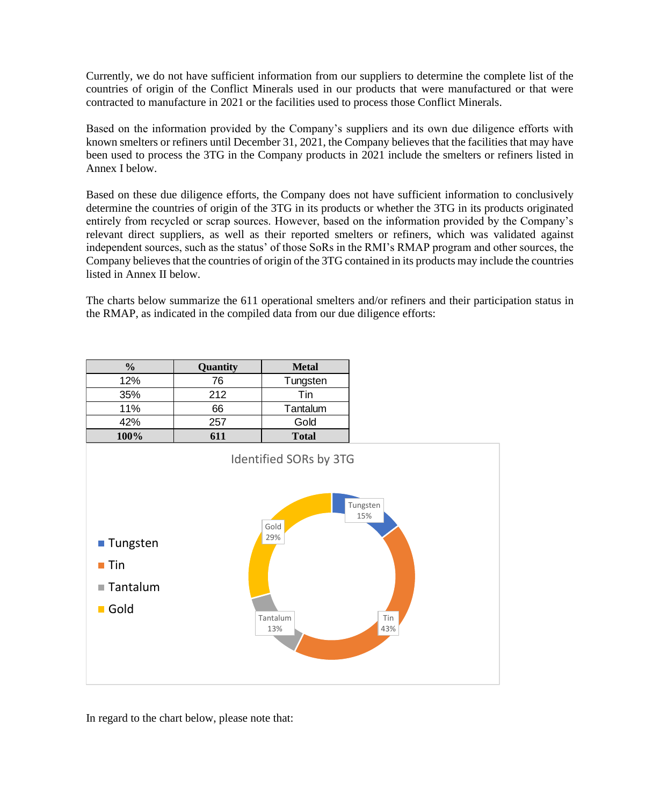Currently, we do not have sufficient information from our suppliers to determine the complete list of the countries of origin of the Conflict Minerals used in our products that were manufactured or that were contracted to manufacture in 2021 or the facilities used to process those Conflict Minerals.

Based on the information provided by the Company's suppliers and its own due diligence efforts with known smelters or refiners until December 31, 2021, the Company believes that the facilities that may have been used to process the 3TG in the Company products in 2021 include the smelters or refiners listed in Annex I below.

Based on these due diligence efforts, the Company does not have sufficient information to conclusively determine the countries of origin of the 3TG in its products or whether the 3TG in its products originated entirely from recycled or scrap sources. However, based on the information provided by the Company's relevant direct suppliers, as well as their reported smelters or refiners, which was validated against independent sources, such as the status' of those SoRs in the RMI's RMAP program and other sources, the Company believes that the countries of origin of the 3TG contained in its products may include the countries listed in Annex II below.

The charts below summarize the 611 operational smelters and/or refiners and their participation status in the RMAP, as indicated in the compiled data from our due diligence efforts:

| $\frac{0}{0}$ | Quantity             | <b>Metal</b>                                                                                 |
|---------------|----------------------|----------------------------------------------------------------------------------------------|
| 12%           | 76                   | Tungsten                                                                                     |
| 35%           | 212                  | Tin                                                                                          |
| 11%           | 66                   | Tantalum                                                                                     |
| 42%           | 257                  | Gold                                                                                         |
| 100%          | 611                  | <b>Total</b>                                                                                 |
|               | $\sim$ $\sim$ $\sim$ | $\cdot$ $\cdot$ $\cdot$<br>$\sim$ $\sim$ $\sim$ $\sim$ $\sim$ $\sim$<br>$\sim$ $\sim$ $\sim$ |



In regard to the chart below, please note that: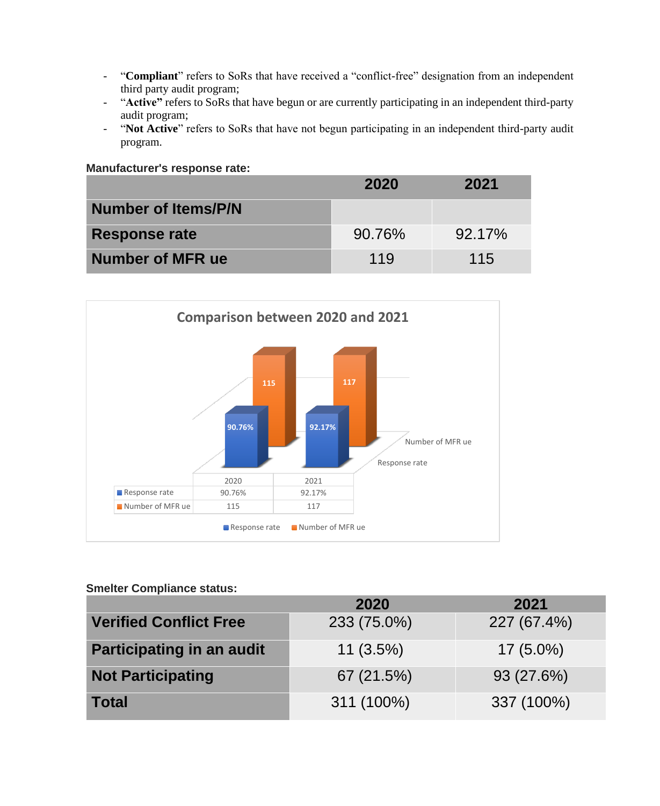- "**Compliant**" refers to SoRs that have received a "conflict-free" designation from an independent third party audit program;
- "**Active"** refers to SoRs that have begun or are currently participating in an independent third-party audit program;
- "**Not Active**" refers to SoRs that have not begun participating in an independent third-party audit program.

| Manufacturer's response rate: |        |        |
|-------------------------------|--------|--------|
|                               | 2020   | 2021   |
| Number of Items/P/N           |        |        |
| <b>Response rate</b>          | 90.76% | 92.17% |
| <b>Number of MFR ue</b>       | 119    | 115    |



## **Smelter Compliance status:**

|                                  | 2020        | 2021        |
|----------------------------------|-------------|-------------|
| <b>Verified Conflict Free</b>    | 233 (75.0%) | 227 (67.4%) |
| <b>Participating in an audit</b> | $11(3.5\%)$ | $17(5.0\%)$ |
| <b>Not Participating</b>         | 67 (21.5%)  | 93(27.6%)   |
| <b>Total</b>                     | 311 (100%)  | 337 (100%)  |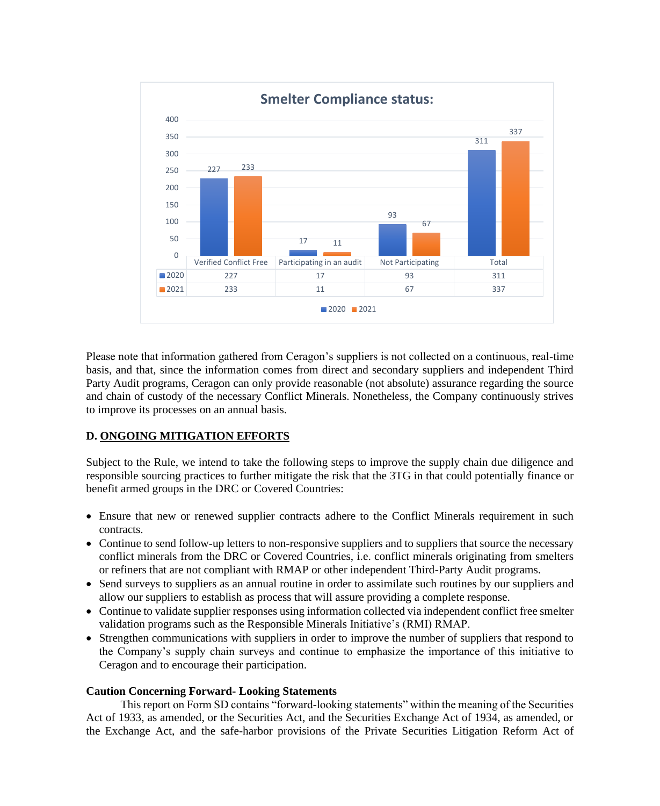

Please note that information gathered from Ceragon's suppliers is not collected on a continuous, real-time basis, and that, since the information comes from direct and secondary suppliers and independent Third Party Audit programs, Ceragon can only provide reasonable (not absolute) assurance regarding the source and chain of custody of the necessary Conflict Minerals. Nonetheless, the Company continuously strives to improve its processes on an annual basis.

#### **D. ONGOING MITIGATION EFFORTS**

Subject to the Rule, we intend to take the following steps to improve the supply chain due diligence and responsible sourcing practices to further mitigate the risk that the 3TG in that could potentially finance or benefit armed groups in the DRC or Covered Countries:

- Ensure that new or renewed supplier contracts adhere to the Conflict Minerals requirement in such contracts.
- Continue to send follow-up letters to non-responsive suppliers and to suppliers that source the necessary conflict minerals from the DRC or Covered Countries, i.e. conflict minerals originating from smelters or refiners that are not compliant with RMAP or other independent Third-Party Audit programs.
- Send surveys to suppliers as an annual routine in order to assimilate such routines by our suppliers and allow our suppliers to establish as process that will assure providing a complete response.
- Continue to validate supplier responses using information collected via independent conflict free smelter validation programs such as the Responsible Minerals Initiative's (RMI) RMAP.
- Strengthen communications with suppliers in order to improve the number of suppliers that respond to the Company's supply chain surveys and continue to emphasize the importance of this initiative to Ceragon and to encourage their participation.

#### **Caution Concerning Forward- Looking Statements**

This report on Form SD contains "forward-looking statements" within the meaning of the Securities Act of 1933, as amended, or the Securities Act, and the Securities Exchange Act of 1934, as amended, or the Exchange Act, and the safe-harbor provisions of the Private Securities Litigation Reform Act of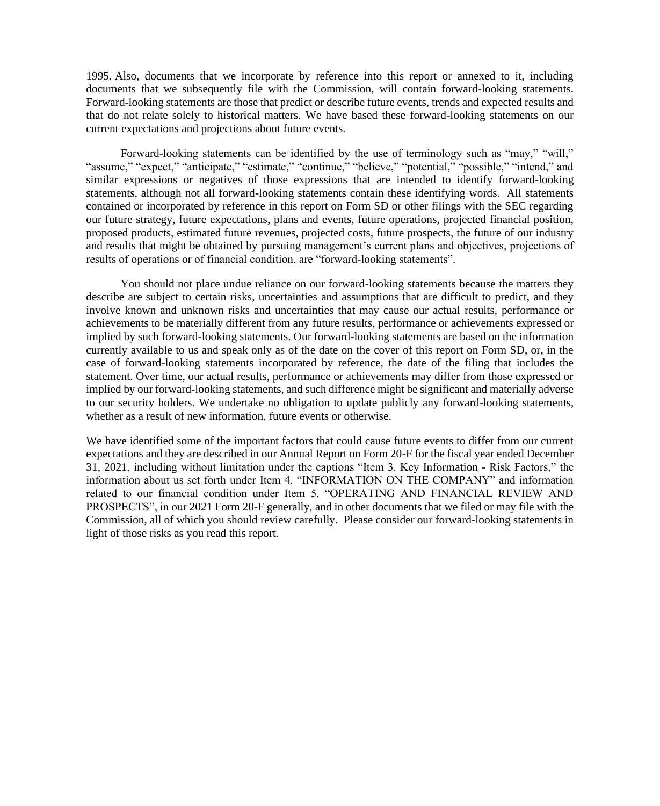1995. Also, documents that we incorporate by reference into this report or annexed to it, including documents that we subsequently file with the Commission, will contain forward-looking statements. Forward-looking statements are those that predict or describe future events, trends and expected results and that do not relate solely to historical matters. We have based these forward-looking statements on our current expectations and projections about future events.

Forward-looking statements can be identified by the use of terminology such as "may," "will," "assume," "expect," "anticipate," "estimate," "continue," "believe," "potential," "possible," "intend," and similar expressions or negatives of those expressions that are intended to identify forward-looking statements, although not all forward-looking statements contain these identifying words. All statements contained or incorporated by reference in this report on Form SD or other filings with the SEC regarding our future strategy, future expectations, plans and events, future operations, projected financial position, proposed products, estimated future revenues, projected costs, future prospects, the future of our industry and results that might be obtained by pursuing management's current plans and objectives, projections of results of operations or of financial condition, are "forward-looking statements".

You should not place undue reliance on our forward-looking statements because the matters they describe are subject to certain risks, uncertainties and assumptions that are difficult to predict, and they involve known and unknown risks and uncertainties that may cause our actual results, performance or achievements to be materially different from any future results, performance or achievements expressed or implied by such forward-looking statements. Our forward-looking statements are based on the information currently available to us and speak only as of the date on the cover of this report on Form SD, or, in the case of forward-looking statements incorporated by reference, the date of the filing that includes the statement. Over time, our actual results, performance or achievements may differ from those expressed or implied by our forward-looking statements, and such difference might be significant and materially adverse to our security holders. We undertake no obligation to update publicly any forward-looking statements, whether as a result of new information, future events or otherwise.

We have identified some of the important factors that could cause future events to differ from our current expectations and they are described in our Annual Report on Form 20-F for the fiscal year ended December 31, 2021, including without limitation under the captions "Item 3. Key Information - Risk Factors," the information about us set forth under Item 4. "INFORMATION ON THE COMPANY" and information related to our financial condition under Item 5. "OPERATING AND FINANCIAL REVIEW AND PROSPECTS", in our 2021 Form 20-F generally, and in other documents that we filed or may file with the Commission, all of which you should review carefully. Please consider our forward-looking statements in light of those risks as you read this report.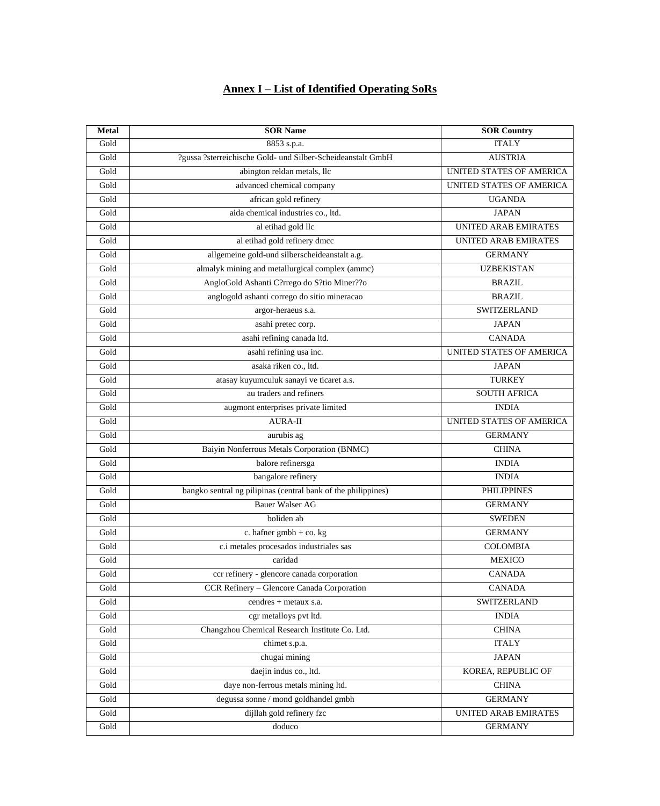# **Annex I – List of Identified Operating SoRs**

| <b>Metal</b> | <b>SOR Name</b>                                               | <b>SOR Country</b>          |
|--------------|---------------------------------------------------------------|-----------------------------|
| Gold         | 8853 s.p.a.                                                   | <b>ITALY</b>                |
| Gold         | ?gussa ?sterreichische Gold- und Silber-Scheideanstalt GmbH   | <b>AUSTRIA</b>              |
| Gold         | abington reldan metals, llc                                   | UNITED STATES OF AMERICA    |
| Gold         | advanced chemical company                                     | UNITED STATES OF AMERICA    |
| Gold         | african gold refinery                                         | <b>UGANDA</b>               |
| Gold         | aida chemical industries co., ltd.                            | <b>JAPAN</b>                |
| Gold         | al etihad gold llc                                            | <b>UNITED ARAB EMIRATES</b> |
| Gold         | al etihad gold refinery dmcc                                  | UNITED ARAB EMIRATES        |
| Gold         | allgemeine gold-und silberscheideanstalt a.g.                 | <b>GERMANY</b>              |
| Gold         | almalyk mining and metallurgical complex (ammc)               | <b>UZBEKISTAN</b>           |
| Gold         | AngloGold Ashanti C?rrego do S?tio Miner??o                   | <b>BRAZIL</b>               |
| Gold         | anglogold ashanti corrego do sitio mineracao                  | <b>BRAZIL</b>               |
| Gold         | argor-heraeus s.a.                                            | <b>SWITZERLAND</b>          |
| Gold         | asahi pretec corp.                                            | <b>JAPAN</b>                |
| Gold         | asahi refining canada ltd.                                    | <b>CANADA</b>               |
| Gold         | asahi refining usa inc.                                       | UNITED STATES OF AMERICA    |
| Gold         | asaka riken co., ltd.                                         | <b>JAPAN</b>                |
| Gold         | atasay kuyumculuk sanayi ve ticaret a.s.                      | <b>TURKEY</b>               |
| Gold         | au traders and refiners                                       | <b>SOUTH AFRICA</b>         |
| Gold         | augmont enterprises private limited                           | <b>INDIA</b>                |
| Gold         | <b>AURA-II</b>                                                | UNITED STATES OF AMERICA    |
| Gold         | aurubis ag                                                    | <b>GERMANY</b>              |
| Gold         | Baiyin Nonferrous Metals Corporation (BNMC)                   | <b>CHINA</b>                |
| Gold         | balore refinersga                                             | <b>INDIA</b>                |
| Gold         | bangalore refinery                                            | <b>INDIA</b>                |
| Gold         | bangko sentral ng pilipinas (central bank of the philippines) | <b>PHILIPPINES</b>          |
| Gold         | <b>Bauer Walser AG</b>                                        | <b>GERMANY</b>              |
| Gold         | boliden ab                                                    | <b>SWEDEN</b>               |
| Gold         | c. hafner gmbh + co. kg                                       | <b>GERMANY</b>              |
| Gold         | c.i metales procesados industriales sas                       | <b>COLOMBIA</b>             |
| Gold         | caridad                                                       | <b>MEXICO</b>               |
| Gold         | ccr refinery - glencore canada corporation                    | <b>CANADA</b>               |
| Gold         | CCR Refinery - Glencore Canada Corporation                    | <b>CANADA</b>               |
| Gold         | cendres + metaux s.a.                                         | SWITZERLAND                 |
| Gold         | cgr metalloys pvt ltd.                                        | <b>INDIA</b>                |
| Gold         | Changzhou Chemical Research Institute Co. Ltd.                | <b>CHINA</b>                |
| Gold         | chimet s.p.a.                                                 | <b>ITALY</b>                |
| Gold         | chugai mining                                                 | <b>JAPAN</b>                |
| Gold         | daejin indus co., ltd.                                        | KOREA, REPUBLIC OF          |
| Gold         | daye non-ferrous metals mining ltd.                           | <b>CHINA</b>                |
| Gold         | degussa sonne / mond goldhandel gmbh                          | <b>GERMANY</b>              |
| Gold         | dijllah gold refinery fzc                                     | UNITED ARAB EMIRATES        |
| Gold         | doduco                                                        | <b>GERMANY</b>              |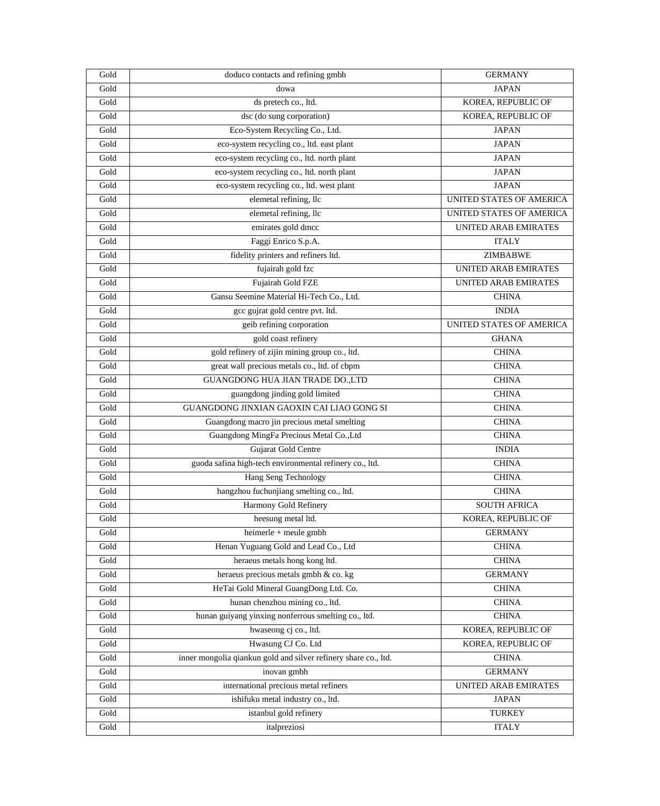| Gold                  | doduco contacts and refining gmbh                               | <b>GERMANY</b>                  |
|-----------------------|-----------------------------------------------------------------|---------------------------------|
| Gold                  | dowa                                                            | <b>JAPAN</b>                    |
| Gold                  | ds pretech co., ltd.                                            | KOREA, REPUBLIC OF              |
| Gold                  | dsc (do sung corporation)                                       | KOREA, REPUBLIC OF              |
| Gold                  | Eco-System Recycling Co., Ltd.                                  | <b>JAPAN</b>                    |
| Gold                  | eco-system recycling co., ltd. east plant                       | <b>JAPAN</b>                    |
| Gold                  | eco-system recycling co., ltd. north plant                      | <b>JAPAN</b>                    |
| Gold                  | eco-system recycling co., ltd. north plant                      | <b>JAPAN</b>                    |
| Gold                  | eco-system recycling co., ltd. west plant                       | <b>JAPAN</b>                    |
| Gold                  | elemetal refining, llc                                          | UNITED STATES OF AMERICA        |
| Gold                  | elemetal refining, llc                                          | UNITED STATES OF AMERICA        |
| Gold                  | emirates gold dmcc                                              | UNITED ARAB EMIRATES            |
| Gold                  | Faggi Enrico S.p.A.                                             | <b>ITALY</b>                    |
| Gold                  | fidelity printers and refiners ltd.                             | <b>ZIMBABWE</b>                 |
| Gold                  | fujairah gold fzc                                               | <b>UNITED ARAB EMIRATES</b>     |
| Gold                  | Fujairah Gold FZE                                               | UNITED ARAB EMIRATES            |
| Gold                  | Gansu Seemine Material Hi-Tech Co., Ltd.                        | <b>CHINA</b>                    |
| Gold                  | gcc gujrat gold centre pvt. ltd.                                | <b>INDIA</b>                    |
| Gold                  | geib refining corporation                                       | <b>UNITED STATES OF AMERICA</b> |
| Gold                  | gold coast refinery                                             | <b>GHANA</b>                    |
| Gold                  | gold refinery of zijin mining group co., ltd.                   | <b>CHINA</b>                    |
| Gold                  | great wall precious metals co., ltd. of cbpm                    | <b>CHINA</b>                    |
| Gold                  | <b>GUANGDONG HUA JIAN TRADE DO.,LTD</b>                         | <b>CHINA</b>                    |
| Gold                  | guangdong jinding gold limited                                  | <b>CHINA</b>                    |
| Gold                  | GUANGDONG JINXIAN GAOXIN CAI LIAO GONG SI                       | <b>CHINA</b>                    |
| Gold                  | Guangdong macro jin precious metal smelting                     | <b>CHINA</b>                    |
| Gold                  | Guangdong MingFa Precious Metal Co., Ltd                        | <b>CHINA</b>                    |
| Gold                  | Gujarat Gold Centre                                             | <b>INDIA</b>                    |
| Gold                  | guoda safina high-tech environmental refinery co., ltd.         | <b>CHINA</b>                    |
| Gold                  | Hang Seng Technology                                            | <b>CHINA</b>                    |
| Gold                  | hangzhou fuchunjiang smelting co., ltd.                         | <b>CHINA</b>                    |
| Gold                  | Harmony Gold Refinery                                           | <b>SOUTH AFRICA</b>             |
| Gold                  | heesung metal ltd.                                              | KOREA, REPUBLIC OF              |
| Gold                  | $heimerle + meule gmbh$                                         | <b>GERMANY</b>                  |
| Gold                  | Henan Yuguang Gold and Lead Co., Ltd                            | <b>CHINA</b>                    |
| Gold                  | heraeus metals hong kong ltd.                                   | <b>CHINA</b>                    |
| Gold                  | heraeus precious metals gmbh & co. kg                           | <b>GERMANY</b>                  |
| Gold                  | HeTai Gold Mineral GuangDong Ltd. Co.                           | <b>CHINA</b>                    |
| $\operatorname{Gold}$ | hunan chenzhou mining co., ltd.                                 | <b>CHINA</b>                    |
| Gold                  | hunan guiyang yinxing nonferrous smelting co., ltd.             | <b>CHINA</b>                    |
| Gold                  | hwaseong cj co., ltd.                                           | KOREA, REPUBLIC OF              |
| Gold                  | Hwasung CJ Co. Ltd                                              | KOREA, REPUBLIC OF              |
| Gold                  | inner mongolia qiankun gold and silver refinery share co., ltd. | <b>CHINA</b>                    |
| Gold                  | inovan gmbh                                                     | <b>GERMANY</b>                  |
| Gold                  | international precious metal refiners                           | UNITED ARAB EMIRATES            |
| Gold                  | ishifuku metal industry co., ltd.                               | <b>JAPAN</b>                    |
| Gold                  | istanbul gold refinery                                          | <b>TURKEY</b>                   |
| Gold                  | italpreziosi                                                    | <b>ITALY</b>                    |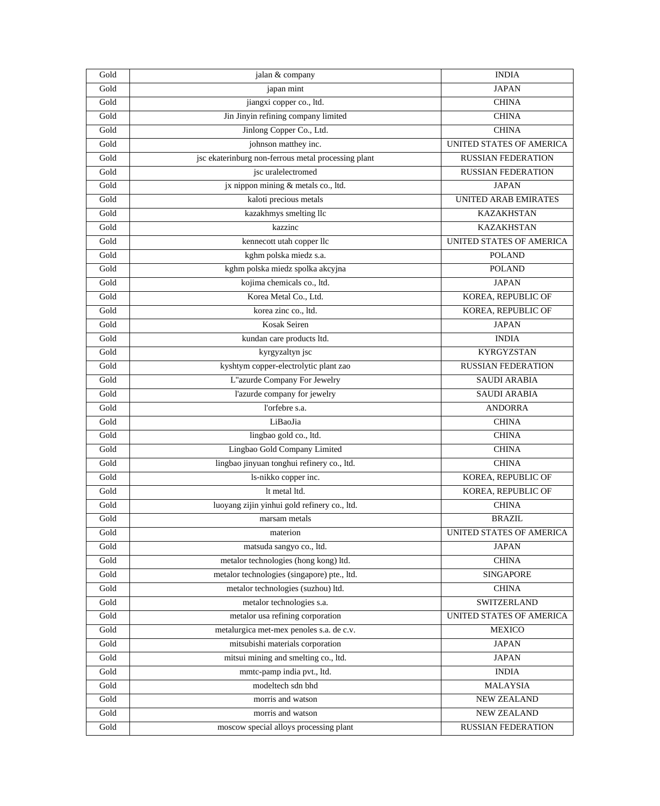| Gold | jalan & company                                     | <b>INDIA</b>              |
|------|-----------------------------------------------------|---------------------------|
| Gold | japan mint                                          | <b>JAPAN</b>              |
| Gold | jiangxi copper co., ltd.                            | <b>CHINA</b>              |
| Gold | Jin Jinyin refining company limited                 | <b>CHINA</b>              |
| Gold | Jinlong Copper Co., Ltd.                            | <b>CHINA</b>              |
| Gold | johnson matthey inc.                                | UNITED STATES OF AMERICA  |
| Gold | jsc ekaterinburg non-ferrous metal processing plant | <b>RUSSIAN FEDERATION</b> |
| Gold | jsc uralelectromed                                  | <b>RUSSIAN FEDERATION</b> |
| Gold | jx nippon mining & metals co., ltd.                 | <b>JAPAN</b>              |
| Gold | kaloti precious metals                              | UNITED ARAB EMIRATES      |
| Gold | kazakhmys smelting llc                              | <b>KAZAKHSTAN</b>         |
| Gold | kazzinc                                             | <b>KAZAKHSTAN</b>         |
| Gold | kennecott utah copper llc                           | UNITED STATES OF AMERICA  |
| Gold | kghm polska miedz s.a.                              | <b>POLAND</b>             |
| Gold | kghm polska miedz spolka akcyjna                    | <b>POLAND</b>             |
| Gold | kojima chemicals co., ltd.                          | <b>JAPAN</b>              |
| Gold | Korea Metal Co., Ltd.                               | KOREA, REPUBLIC OF        |
| Gold | korea zinc co., ltd.                                | KOREA, REPUBLIC OF        |
| Gold | Kosak Seiren                                        | <b>JAPAN</b>              |
| Gold | kundan care products ltd.                           | <b>INDIA</b>              |
| Gold | kyrgyzaltyn jsc                                     | <b>KYRGYZSTAN</b>         |
| Gold | kyshtym copper-electrolytic plant zao               | <b>RUSSIAN FEDERATION</b> |
| Gold | L"azurde Company For Jewelry                        | <b>SAUDI ARABIA</b>       |
| Gold | l'azurde company for jewelry                        | SAUDI ARABIA              |
| Gold | l'orfebre s.a.                                      | <b>ANDORRA</b>            |
| Gold | LiBaoJia                                            | <b>CHINA</b>              |
| Gold | lingbao gold co., ltd.                              | <b>CHINA</b>              |
| Gold | Lingbao Gold Company Limited                        | <b>CHINA</b>              |
| Gold | lingbao jinyuan tonghui refinery co., ltd.          | <b>CHINA</b>              |
| Gold | ls-nikko copper inc.                                | KOREA, REPUBLIC OF        |
| Gold | It metal Itd.                                       | KOREA, REPUBLIC OF        |
| Gold | luoyang zijin yinhui gold refinery co., ltd.        | <b>CHINA</b>              |
| Gold | marsam metals                                       | <b>BRAZIL</b>             |
| Gold | materion                                            | UNITED STATES OF AMERICA  |
| Gold | matsuda sangyo co., ltd.                            | <b>JAPAN</b>              |
| Gold | metalor technologies (hong kong) ltd.               | <b>CHINA</b>              |
| Gold | metalor technologies (singapore) pte., ltd.         | <b>SINGAPORE</b>          |
| Gold | metalor technologies (suzhou) ltd.                  | <b>CHINA</b>              |
| Gold | metalor technologies s.a.                           | <b>SWITZERLAND</b>        |
| Gold | metalor usa refining corporation                    | UNITED STATES OF AMERICA  |
| Gold | metalurgica met-mex penoles s.a. de c.v.            | <b>MEXICO</b>             |
| Gold | mitsubishi materials corporation                    | <b>JAPAN</b>              |
| Gold | mitsui mining and smelting co., ltd.                | <b>JAPAN</b>              |
| Gold | mmtc-pamp india pvt., ltd.                          | <b>INDIA</b>              |
| Gold | modeltech sdn bhd                                   | <b>MALAYSIA</b>           |
| Gold | morris and watson                                   | NEW ZEALAND               |
| Gold | morris and watson                                   | NEW ZEALAND               |
| Gold | moscow special alloys processing plant              | <b>RUSSIAN FEDERATION</b> |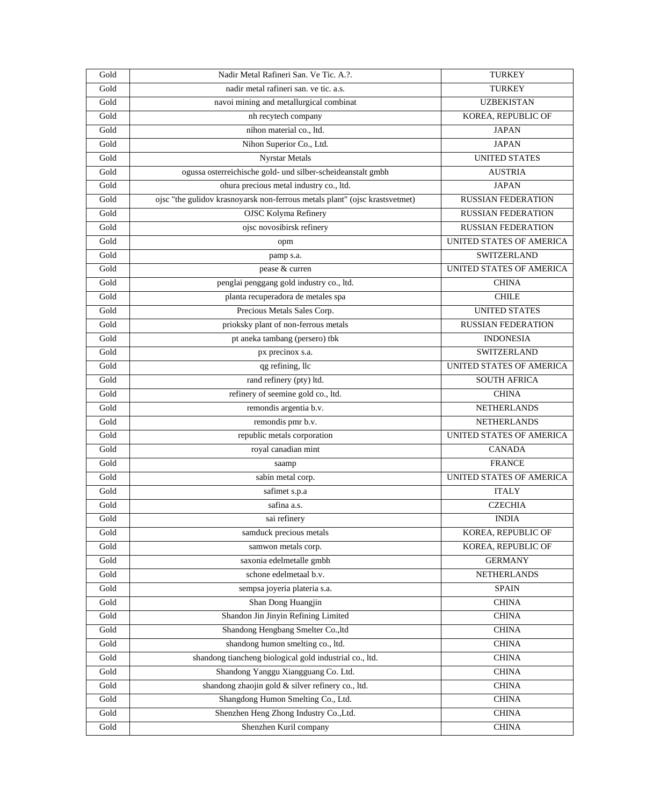| Gold                  | Nadir Metal Rafineri San. Ve Tic. A.?.                                      | <b>TURKEY</b>                   |
|-----------------------|-----------------------------------------------------------------------------|---------------------------------|
| Gold                  | nadir metal rafineri san. ve tic. a.s.                                      | <b>TURKEY</b>                   |
| Gold                  | navoi mining and metallurgical combinat                                     | <b>UZBEKISTAN</b>               |
| Gold                  | nh recytech company                                                         | KOREA, REPUBLIC OF              |
| Gold                  | nihon material co., ltd.                                                    | <b>JAPAN</b>                    |
| Gold                  | Nihon Superior Co., Ltd.                                                    | <b>JAPAN</b>                    |
| Gold                  | <b>Nyrstar Metals</b>                                                       | <b>UNITED STATES</b>            |
| Gold                  | ogussa osterreichische gold- und silber-scheideanstalt gmbh                 | <b>AUSTRIA</b>                  |
| Gold                  | ohura precious metal industry co., ltd.                                     | <b>JAPAN</b>                    |
| Gold                  | ojsc "the gulidov krasnoyarsk non-ferrous metals plant" (ojsc krastsvetmet) | <b>RUSSIAN FEDERATION</b>       |
| Gold                  | <b>OJSC Kolyma Refinery</b>                                                 | <b>RUSSIAN FEDERATION</b>       |
| Gold                  | ojsc novosibirsk refinery                                                   | <b>RUSSIAN FEDERATION</b>       |
| Gol <sub>d</sub>      | opm                                                                         | UNITED STATES OF AMERICA        |
| Gold                  | pamp s.a.                                                                   | SWITZERLAND                     |
| Gold                  | pease & curren                                                              | <b>UNITED STATES OF AMERICA</b> |
| Gold                  | penglai penggang gold industry co., ltd.                                    | <b>CHINA</b>                    |
| Gold                  | planta recuperadora de metales spa                                          | <b>CHILE</b>                    |
| Gold                  | Precious Metals Sales Corp.                                                 | <b>UNITED STATES</b>            |
| Gold                  | prioksky plant of non-ferrous metals                                        | <b>RUSSIAN FEDERATION</b>       |
| Gold                  | pt aneka tambang (persero) tbk                                              | <b>INDONESIA</b>                |
| Gold                  | px precinox s.a.                                                            | SWITZERLAND                     |
| Gold                  | qg refining, llc                                                            | UNITED STATES OF AMERICA        |
| Gold                  | rand refinery (pty) ltd.                                                    | <b>SOUTH AFRICA</b>             |
| Gold                  | refinery of seemine gold co., ltd.                                          | <b>CHINA</b>                    |
| Gold                  | remondis argentia b.v.                                                      | <b>NETHERLANDS</b>              |
| Gold                  | remondis pmr b.v.                                                           | <b>NETHERLANDS</b>              |
| Gold                  | republic metals corporation                                                 | UNITED STATES OF AMERICA        |
| Gold                  | royal canadian mint                                                         | <b>CANADA</b>                   |
| Gold                  | saamp                                                                       | <b>FRANCE</b>                   |
| Gold                  | sabin metal corp.                                                           | UNITED STATES OF AMERICA        |
| Gold                  | safimet s.p.a                                                               | <b>ITALY</b>                    |
| Gold                  | safina a.s.                                                                 | <b>CZECHIA</b>                  |
| Gold                  | sai refinery                                                                | <b>INDIA</b>                    |
| Gold                  | samduck precious metals                                                     | KOREA, REPUBLIC OF              |
| Gold                  | samwon metals corp.                                                         | KOREA, REPUBLIC OF              |
| $\operatorname{Gold}$ | saxonia edelmetalle gmbh                                                    | <b>GERMANY</b>                  |
| Gold                  | schone edelmetaal b.v.                                                      | <b>NETHERLANDS</b>              |
| Gold                  | sempsa joyeria plateria s.a.                                                | <b>SPAIN</b>                    |
| Gold                  | Shan Dong Huangjin                                                          | <b>CHINA</b>                    |
| Gold                  | Shandon Jin Jinyin Refining Limited                                         | <b>CHINA</b>                    |
| Gold                  | Shandong Hengbang Smelter Co.,ltd                                           | <b>CHINA</b>                    |
| Gold                  | shandong humon smelting co., ltd.                                           | <b>CHINA</b>                    |
| $\operatorname{Gold}$ | shandong tiancheng biological gold industrial co., ltd.                     | <b>CHINA</b>                    |
| Gold                  | Shandong Yanggu Xiangguang Co. Ltd.                                         | <b>CHINA</b>                    |
| Gold                  | shandong zhaojin gold & silver refinery co., ltd.                           | <b>CHINA</b>                    |
| Gold                  | Shangdong Humon Smelting Co., Ltd.                                          | <b>CHINA</b>                    |
| Gold                  | Shenzhen Heng Zhong Industry Co., Ltd.                                      | <b>CHINA</b>                    |
| Gold                  | Shenzhen Kuril company                                                      | <b>CHINA</b>                    |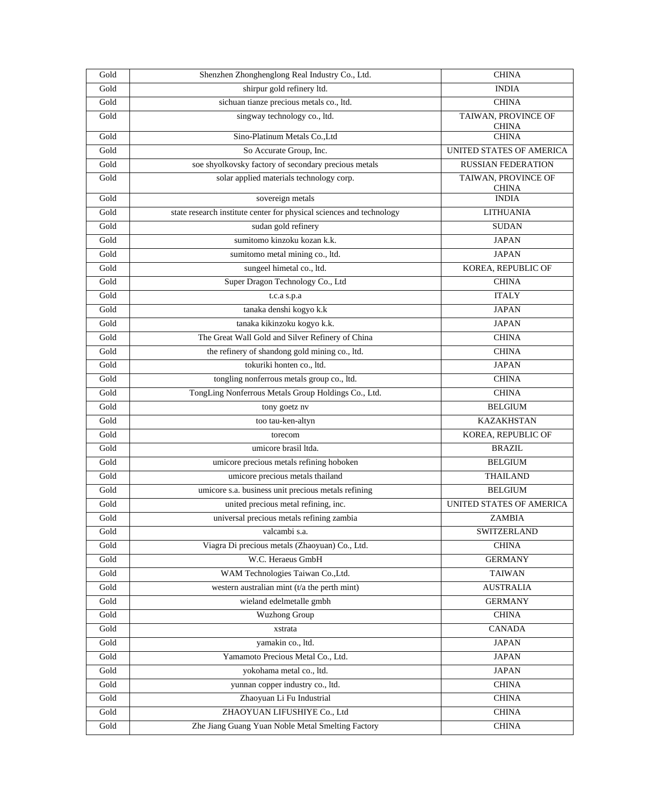| Gold                  | Shenzhen Zhonghenglong Real Industry Co., Ltd.                       | <b>CHINA</b>                        |
|-----------------------|----------------------------------------------------------------------|-------------------------------------|
| Gold                  | shirpur gold refinery ltd.                                           | <b>INDIA</b>                        |
| Gold                  | sichuan tianze precious metals co., ltd.                             | <b>CHINA</b>                        |
| Gold                  | singway technology co., ltd.                                         | TAIWAN, PROVINCE OF<br><b>CHINA</b> |
| Gold                  | Sino-Platinum Metals Co., Ltd                                        | <b>CHINA</b>                        |
| Gold                  | So Accurate Group, Inc.                                              | UNITED STATES OF AMERICA            |
| Gold                  | soe shyolkovsky factory of secondary precious metals                 | <b>RUSSIAN FEDERATION</b>           |
| Gold                  | solar applied materials technology corp.                             | TAIWAN, PROVINCE OF<br><b>CHINA</b> |
| Gold                  | sovereign metals                                                     | <b>INDIA</b>                        |
| Gold                  | state research institute center for physical sciences and technology | <b>LITHUANIA</b>                    |
| Gold                  | sudan gold refinery                                                  | <b>SUDAN</b>                        |
| Gold                  | sumitomo kinzoku kozan k.k.                                          | <b>JAPAN</b>                        |
| Gold                  | sumitomo metal mining co., ltd.                                      | <b>JAPAN</b>                        |
| Gold                  | sungeel himetal co., ltd.                                            | KOREA, REPUBLIC OF                  |
| Gold                  | Super Dragon Technology Co., Ltd                                     | <b>CHINA</b>                        |
| Gold                  | t.c.a s.p.a                                                          | <b>ITALY</b>                        |
| Gold                  | tanaka denshi kogyo k.k                                              | <b>JAPAN</b>                        |
| Gold                  | tanaka kikinzoku kogyo k.k.                                          | <b>JAPAN</b>                        |
| Gold                  | The Great Wall Gold and Silver Refinery of China                     | <b>CHINA</b>                        |
| Gold                  | the refinery of shandong gold mining co., ltd.                       | <b>CHINA</b>                        |
| Gold                  | tokuriki honten co., ltd.                                            | <b>JAPAN</b>                        |
| Gold                  | tongling nonferrous metals group co., ltd.                           | <b>CHINA</b>                        |
| Gold                  | TongLing Nonferrous Metals Group Holdings Co., Ltd.                  | <b>CHINA</b>                        |
| Gold                  | tony goetz nv                                                        | <b>BELGIUM</b>                      |
| Gold                  | too tau-ken-altyn                                                    | <b>KAZAKHSTAN</b>                   |
| Gold                  | torecom                                                              | KOREA, REPUBLIC OF                  |
| Gold                  | umicore brasil ltda.                                                 | <b>BRAZIL</b>                       |
| Gold                  | umicore precious metals refining hoboken                             | <b>BELGIUM</b>                      |
| Gold                  | umicore precious metals thailand                                     | <b>THAILAND</b>                     |
| Gold                  | umicore s.a. business unit precious metals refining                  | <b>BELGIUM</b>                      |
| Gold                  | united precious metal refining, inc.                                 | UNITED STATES OF AMERICA            |
| Gold                  | universal precious metals refining zambia                            | ZAMBIA                              |
| Gold                  | valcambi s.a.                                                        | SWITZERLAND                         |
| Gold                  | Viagra Di precious metals (Zhaoyuan) Co., Ltd.                       | <b>CHINA</b>                        |
| $\operatorname{Gold}$ | W.C. Heraeus GmbH                                                    | <b>GERMANY</b>                      |
| Gold                  | WAM Technologies Taiwan Co., Ltd.                                    | <b>TAIWAN</b>                       |
| Gold                  | western australian mint ( $t/a$ the perth mint)                      | <b>AUSTRALIA</b>                    |
| Gold                  | wieland edelmetalle gmbh                                             | <b>GERMANY</b>                      |
| Gold                  | <b>Wuzhong Group</b>                                                 | <b>CHINA</b>                        |
| $\operatorname{Gold}$ | xstrata                                                              | <b>CANADA</b>                       |
| Gold                  | yamakin co., ltd.                                                    | <b>JAPAN</b>                        |
| Gold                  | Yamamoto Precious Metal Co., Ltd.                                    | <b>JAPAN</b>                        |
| Gold                  | yokohama metal co., ltd.                                             | <b>JAPAN</b>                        |
| Gold                  | yunnan copper industry co., ltd.                                     | <b>CHINA</b>                        |
| $\operatorname{Gold}$ | Zhaoyuan Li Fu Industrial                                            | <b>CHINA</b>                        |
| Gold                  | ZHAOYUAN LIFUSHIYE Co., Ltd                                          | <b>CHINA</b>                        |
| Gold                  | Zhe Jiang Guang Yuan Noble Metal Smelting Factory                    | <b>CHINA</b>                        |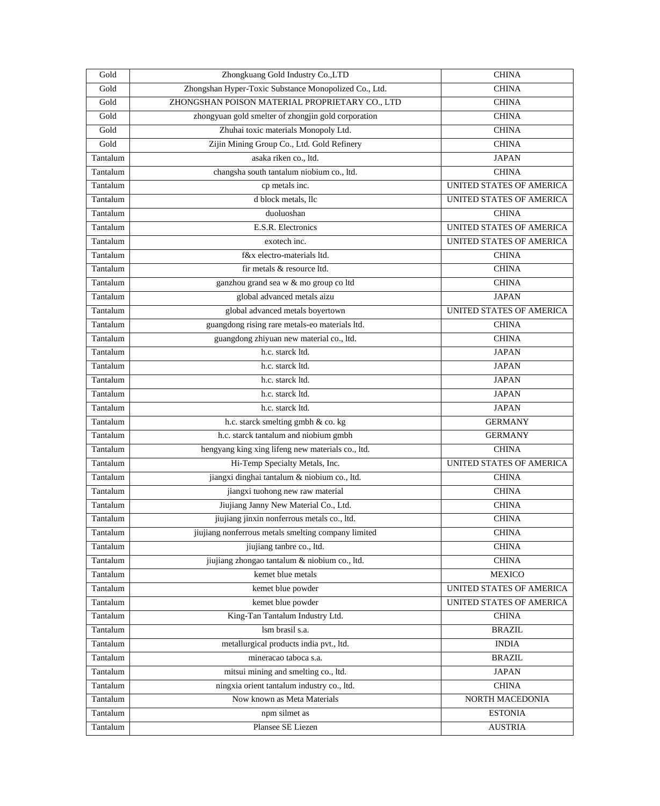| Gold     | Zhongkuang Gold Industry Co., LTD                     | <b>CHINA</b>                    |
|----------|-------------------------------------------------------|---------------------------------|
| Gold     | Zhongshan Hyper-Toxic Substance Monopolized Co., Ltd. | <b>CHINA</b>                    |
| Gold     | ZHONGSHAN POISON MATERIAL PROPRIETARY CO., LTD        | <b>CHINA</b>                    |
| Gold     | zhongyuan gold smelter of zhongjin gold corporation   | <b>CHINA</b>                    |
| Gold     | Zhuhai toxic materials Monopoly Ltd.                  | <b>CHINA</b>                    |
| Gold     | Zijin Mining Group Co., Ltd. Gold Refinery            | <b>CHINA</b>                    |
| Tantalum | asaka riken co., ltd.                                 | <b>JAPAN</b>                    |
| Tantalum | changsha south tantalum niobium co., ltd.             | <b>CHINA</b>                    |
| Tantalum | cp metals inc.                                        | UNITED STATES OF AMERICA        |
| Tantalum | d block metals, llc                                   | UNITED STATES OF AMERICA        |
| Tantalum | duoluoshan                                            | <b>CHINA</b>                    |
| Tantalum | E.S.R. Electronics                                    | UNITED STATES OF AMERICA        |
| Tantalum | exotech inc.                                          | UNITED STATES OF AMERICA        |
| Tantalum | f&x electro-materials ltd.                            | <b>CHINA</b>                    |
| Tantalum | fir metals & resource ltd.                            | <b>CHINA</b>                    |
| Tantalum | ganzhou grand sea w & mo group co ltd                 | <b>CHINA</b>                    |
| Tantalum | global advanced metals aizu                           | <b>JAPAN</b>                    |
| Tantalum | global advanced metals boyertown                      | UNITED STATES OF AMERICA        |
| Tantalum | guangdong rising rare metals-eo materials ltd.        | <b>CHINA</b>                    |
| Tantalum | guangdong zhiyuan new material co., ltd.              | <b>CHINA</b>                    |
| Tantalum | h.c. starck ltd.                                      | <b>JAPAN</b>                    |
| Tantalum | h.c. starck ltd.                                      | <b>JAPAN</b>                    |
| Tantalum | h.c. starck ltd.                                      | <b>JAPAN</b>                    |
| Tantalum | h.c. starck ltd.                                      | <b>JAPAN</b>                    |
| Tantalum | h.c. starck ltd.                                      | <b>JAPAN</b>                    |
| Tantalum | h.c. starck smelting gmbh & co. kg                    | <b>GERMANY</b>                  |
| Tantalum | h.c. starck tantalum and niobium gmbh                 | <b>GERMANY</b>                  |
| Tantalum | hengyang king xing lifeng new materials co., ltd.     | <b>CHINA</b>                    |
| Tantalum | Hi-Temp Specialty Metals, Inc.                        | <b>UNITED STATES OF AMERICA</b> |
| Tantalum | jiangxi dinghai tantalum & niobium co., ltd.          | <b>CHINA</b>                    |
| Tantalum | jiangxi tuohong new raw material                      | <b>CHINA</b>                    |
| Tantalum | Jiujiang Janny New Material Co., Ltd.                 | <b>CHINA</b>                    |
| Tantalum | jiujiang jinxin nonferrous metals co., ltd.           | <b>CHINA</b>                    |
| Tantalum | jiujiang nonferrous metals smelting company limited   | <b>CHINA</b>                    |
| Tantalum | jiujiang tanbre co., ltd.                             | <b>CHINA</b>                    |
| Tantalum | jiujiang zhongao tantalum & niobium co., ltd.         | <b>CHINA</b>                    |
| Tantalum | kemet blue metals                                     | <b>MEXICO</b>                   |
| Tantalum | kemet blue powder                                     | UNITED STATES OF AMERICA        |
| Tantalum | kemet blue powder                                     | UNITED STATES OF AMERICA        |
| Tantalum | King-Tan Tantalum Industry Ltd.                       | <b>CHINA</b>                    |
| Tantalum | lsm brasil s.a.                                       | <b>BRAZIL</b>                   |
| Tantalum | metallurgical products india pvt., ltd.               | <b>INDIA</b>                    |
| Tantalum | mineracao taboca s.a.                                 | <b>BRAZIL</b>                   |
| Tantalum | mitsui mining and smelting co., ltd.                  | <b>JAPAN</b>                    |
| Tantalum | ningxia orient tantalum industry co., ltd.            | <b>CHINA</b>                    |
| Tantalum | Now known as Meta Materials                           | NORTH MACEDONIA                 |
| Tantalum | npm silmet as                                         | <b>ESTONIA</b>                  |
| Tantalum | Plansee SE Liezen                                     | <b>AUSTRIA</b>                  |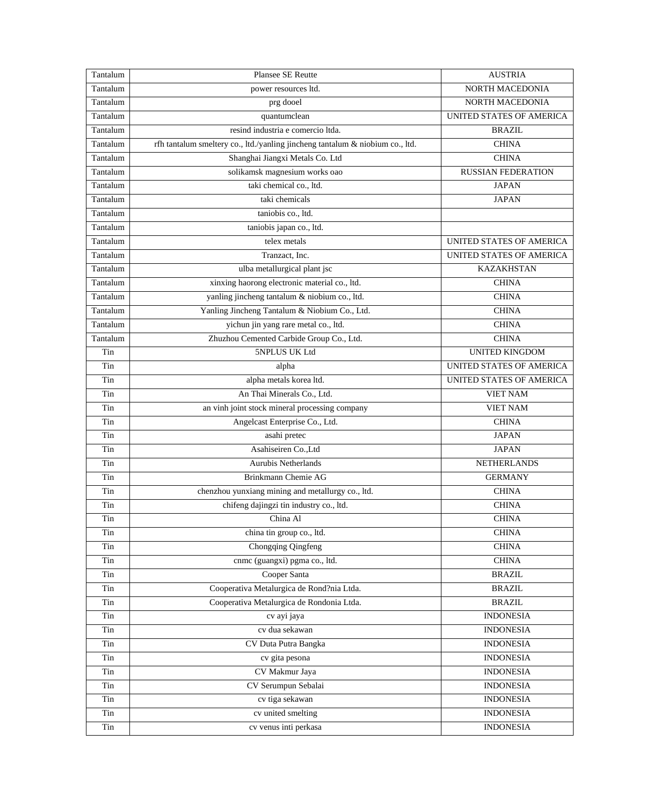| Tantalum | Plansee SE Reutte                                                             | <b>AUSTRIA</b>            |
|----------|-------------------------------------------------------------------------------|---------------------------|
| Tantalum | power resources ltd.                                                          | NORTH MACEDONIA           |
| Tantalum | prg dooel                                                                     | NORTH MACEDONIA           |
| Tantalum | quantumclean                                                                  | UNITED STATES OF AMERICA  |
| Tantalum | resind industria e comercio Itda.                                             | <b>BRAZIL</b>             |
| Tantalum | rfh tantalum smeltery co., ltd./yanling jincheng tantalum & niobium co., ltd. | <b>CHINA</b>              |
| Tantalum | Shanghai Jiangxi Metals Co. Ltd                                               | <b>CHINA</b>              |
| Tantalum | solikamsk magnesium works oao                                                 | <b>RUSSIAN FEDERATION</b> |
| Tantalum | taki chemical co., ltd.                                                       | <b>JAPAN</b>              |
| Tantalum | taki chemicals                                                                | <b>JAPAN</b>              |
| Tantalum | taniobis co., ltd.                                                            |                           |
| Tantalum | taniobis japan co., ltd.                                                      |                           |
| Tantalum | telex metals                                                                  | UNITED STATES OF AMERICA  |
| Tantalum | Tranzact, Inc.                                                                | UNITED STATES OF AMERICA  |
| Tantalum | ulba metallurgical plant jsc                                                  | <b>KAZAKHSTAN</b>         |
| Tantalum | xinxing haorong electronic material co., ltd.                                 | <b>CHINA</b>              |
| Tantalum | yanling jincheng tantalum & niobium co., ltd.                                 | <b>CHINA</b>              |
| Tantalum | Yanling Jincheng Tantalum & Niobium Co., Ltd.                                 | <b>CHINA</b>              |
| Tantalum | yichun jin yang rare metal co., ltd.                                          | <b>CHINA</b>              |
| Tantalum | Zhuzhou Cemented Carbide Group Co., Ltd.                                      | <b>CHINA</b>              |
| Tin      | 5NPLUS UK Ltd                                                                 | <b>UNITED KINGDOM</b>     |
| Tin      | alpha                                                                         | UNITED STATES OF AMERICA  |
| Tin      | alpha metals korea ltd.                                                       | UNITED STATES OF AMERICA  |
| Tin      | An Thai Minerals Co., Ltd.                                                    | <b>VIET NAM</b>           |
| Tin      | an vinh joint stock mineral processing company                                | <b>VIET NAM</b>           |
| Tin      | Angelcast Enterprise Co., Ltd.                                                | <b>CHINA</b>              |
| Tin      | asahi pretec                                                                  | <b>JAPAN</b>              |
| Tin      | Asahiseiren Co., Ltd                                                          | <b>JAPAN</b>              |
| Tin      | <b>Aurubis Netherlands</b>                                                    | <b>NETHERLANDS</b>        |
| Tin      | Brinkmann Chemie AG                                                           | <b>GERMANY</b>            |
| Tin      | chenzhou yunxiang mining and metallurgy co., ltd.                             | <b>CHINA</b>              |
| Tin      | chifeng dajingzi tin industry co., ltd.                                       | <b>CHINA</b>              |
| Tin      | China Al                                                                      | <b>CHINA</b>              |
| Tin      | china tin group co., ltd.                                                     | <b>CHINA</b>              |
| Tin      | <b>Chongqing Qingfeng</b>                                                     | <b>CHINA</b>              |
| Tin      | cnmc (guangxi) pgma co., ltd.                                                 | <b>CHINA</b>              |
| Tin      | Cooper Santa                                                                  | <b>BRAZIL</b>             |
| Tin      | Cooperativa Metalurgica de Rond?nia Ltda.                                     | <b>BRAZIL</b>             |
| Tin      | Cooperativa Metalurgica de Rondonia Ltda.                                     | <b>BRAZIL</b>             |
| Tin      | cv ayi jaya                                                                   | <b>INDONESIA</b>          |
| Tin      | cv dua sekawan                                                                | <b>INDONESIA</b>          |
| Tin      | CV Duta Putra Bangka                                                          | <b>INDONESIA</b>          |
| Tin      | cv gita pesona                                                                | <b>INDONESIA</b>          |
| Tin      | CV Makmur Jaya                                                                | <b>INDONESIA</b>          |
| Tin      | CV Serumpun Sebalai                                                           | <b>INDONESIA</b>          |
| Tin      | cv tiga sekawan                                                               | <b>INDONESIA</b>          |
| Tin      | cv united smelting                                                            | <b>INDONESIA</b>          |
| Tin      | cv venus inti perkasa                                                         | <b>INDONESIA</b>          |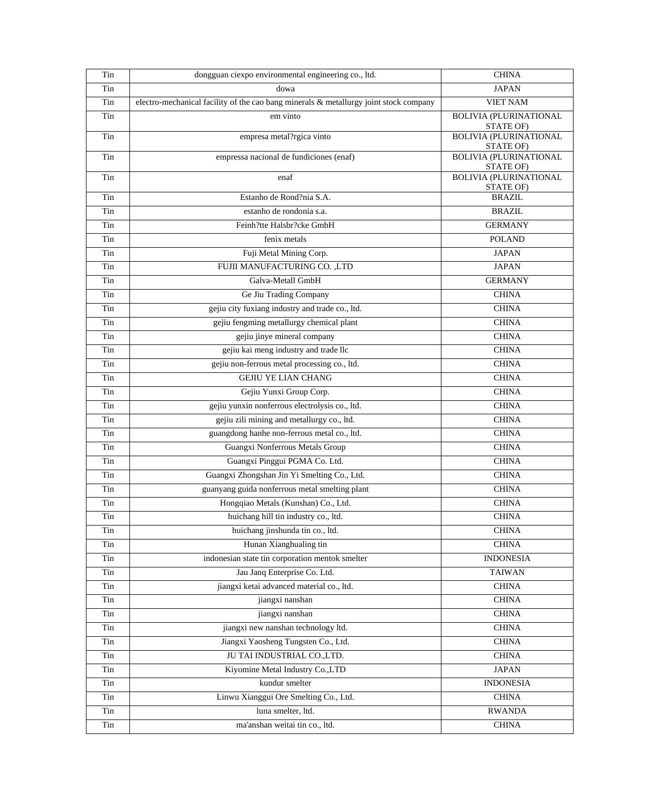| Tin | dongguan ciexpo environmental engineering co., ltd.                                   | <b>CHINA</b>                               |
|-----|---------------------------------------------------------------------------------------|--------------------------------------------|
| Tin | dowa                                                                                  | <b>JAPAN</b>                               |
| Tin | electro-mechanical facility of the cao bang minerals & metallurgy joint stock company | <b>VIET NAM</b>                            |
| Tin | em vinto                                                                              | <b>BOLIVIA (PLURINATIONAL</b><br>STATE OF) |
| Tin | empresa metal?rgica vinto                                                             | <b>BOLIVIA (PLURINATIONAL</b><br>STATE OF) |
| Tin | empressa nacional de fundiciones (enaf)                                               | <b>BOLIVIA (PLURINATIONAL</b><br>STATE OF) |
| Tin | enaf                                                                                  | <b>BOLIVIA (PLURINATIONAL</b><br>STATE OF) |
| Tin | Estanho de Rond?nia S.A.                                                              | <b>BRAZIL</b>                              |
| Tin | estanho de rondonia s.a.                                                              | <b>BRAZIL</b>                              |
| Tin | Feinh?tte Halsbr?cke GmbH                                                             | <b>GERMANY</b>                             |
| Tin | fenix metals                                                                          | <b>POLAND</b>                              |
| Tin | Fuji Metal Mining Corp.                                                               | <b>JAPAN</b>                               |
| Tin | FUJII MANUFACTURING CO., LTD                                                          | <b>JAPAN</b>                               |
| Tin | Galva-Metall GmbH                                                                     | <b>GERMANY</b>                             |
| Tin | Ge Jiu Trading Company                                                                | <b>CHINA</b>                               |
| Tin | gejiu city fuxiang industry and trade co., ltd.                                       | <b>CHINA</b>                               |
| Tin | gejiu fengming metallurgy chemical plant                                              | <b>CHINA</b>                               |
| Tin | gejiu jinye mineral company                                                           | <b>CHINA</b>                               |
| Tin | gejiu kai meng industry and trade llc                                                 | <b>CHINA</b>                               |
| Tin | gejiu non-ferrous metal processing co., ltd.                                          | <b>CHINA</b>                               |
| Tin | <b>GEJIU YE LIAN CHANG</b>                                                            | <b>CHINA</b>                               |
| Tin | Gejiu Yunxi Group Corp.                                                               | <b>CHINA</b>                               |
| Tin | gejiu yunxin nonferrous electrolysis co., ltd.                                        | <b>CHINA</b>                               |
| Tin | gejiu zili mining and metallurgy co., ltd.                                            | <b>CHINA</b>                               |
| Tin | guangdong hanhe non-ferrous metal co., ltd.                                           | <b>CHINA</b>                               |
| Tin | Guangxi Nonferrous Metals Group                                                       | <b>CHINA</b>                               |
| Tin | Guangxi Pinggui PGMA Co. Ltd.                                                         | <b>CHINA</b>                               |
| Tin | Guangxi Zhongshan Jin Yi Smelting Co., Ltd.                                           | <b>CHINA</b>                               |
| Tin | guanyang guida nonferrous metal smelting plant                                        | <b>CHINA</b>                               |
| Tin | Hongqiao Metals (Kunshan) Co., Ltd.                                                   | <b>CHINA</b>                               |
| Tin | huichang hill tin industry co., ltd.                                                  | <b>CHINA</b>                               |
| Tin | huichang jinshunda tin co., ltd.                                                      | <b>CHINA</b>                               |
| Tin | Hunan Xianghualing tin                                                                | <b>CHINA</b>                               |
| Tin | indonesian state tin corporation mentok smelter                                       | <b>INDONESIA</b>                           |
| Tin | Jau Janq Enterprise Co. Ltd.                                                          | <b>TAIWAN</b>                              |
| Tin | jiangxi ketai advanced material co., ltd.                                             | <b>CHINA</b>                               |
| Tin | jiangxi nanshan                                                                       | <b>CHINA</b>                               |
| Tin | jiangxi nanshan                                                                       | <b>CHINA</b>                               |
| Tin | jiangxi new nanshan technology ltd.                                                   | <b>CHINA</b>                               |
| Tin | Jiangxi Yaosheng Tungsten Co., Ltd.                                                   | <b>CHINA</b>                               |
| Tin | JU TAI INDUSTRIAL CO., LTD.                                                           | <b>CHINA</b>                               |
| Tin | Kiyomine Metal Industry Co., LTD                                                      | <b>JAPAN</b>                               |
| Tin | kundur smelter                                                                        | <b>INDONESIA</b>                           |
| Tin | Linwu Xianggui Ore Smelting Co., Ltd.                                                 | <b>CHINA</b>                               |
| Tin | luna smelter, ltd.                                                                    | <b>RWANDA</b>                              |
| Tin | ma'anshan weitai tin co., ltd.                                                        | <b>CHINA</b>                               |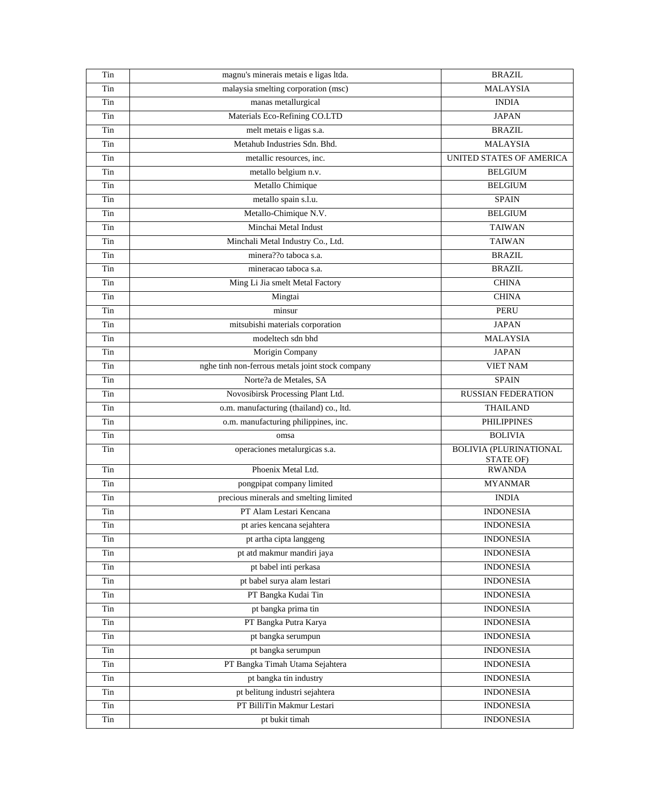| Tin | magnu's minerais metais e ligas ltda.            | <b>BRAZIL</b>                              |
|-----|--------------------------------------------------|--------------------------------------------|
| Tin | malaysia smelting corporation (msc)              | <b>MALAYSIA</b>                            |
| Tin | manas metallurgical                              | <b>INDIA</b>                               |
| Tin | Materials Eco-Refining CO.LTD                    | <b>JAPAN</b>                               |
| Tin | melt metais e ligas s.a.                         | <b>BRAZIL</b>                              |
| Tin | Metahub Industries Sdn. Bhd.                     | <b>MALAYSIA</b>                            |
| Tin | metallic resources, inc.                         | UNITED STATES OF AMERICA                   |
| Tin | metallo belgium n.v.                             | <b>BELGIUM</b>                             |
| Tin | Metallo Chimique                                 | <b>BELGIUM</b>                             |
| Tin | metallo spain s.l.u.                             | <b>SPAIN</b>                               |
| Tin | Metallo-Chimique N.V.                            | <b>BELGIUM</b>                             |
| Tin | Minchai Metal Indust                             | <b>TAIWAN</b>                              |
| Tin | Minchali Metal Industry Co., Ltd.                | <b>TAIWAN</b>                              |
| Tin | minera??o taboca s.a.                            | <b>BRAZIL</b>                              |
| Tin | mineracao taboca s.a.                            | <b>BRAZIL</b>                              |
| Tin | Ming Li Jia smelt Metal Factory                  | <b>CHINA</b>                               |
| Tin | Mingtai                                          | <b>CHINA</b>                               |
| Tin | minsur                                           | <b>PERU</b>                                |
| Tin | mitsubishi materials corporation                 | <b>JAPAN</b>                               |
| Tin | modeltech sdn bhd                                | <b>MALAYSIA</b>                            |
| Tin | Morigin Company                                  | <b>JAPAN</b>                               |
| Tin | nghe tinh non-ferrous metals joint stock company | <b>VIET NAM</b>                            |
| Tin | Norte?a de Metales, SA                           | <b>SPAIN</b>                               |
| Tin | Novosibirsk Processing Plant Ltd.                | <b>RUSSIAN FEDERATION</b>                  |
| Tin | o.m. manufacturing (thailand) co., ltd.          | <b>THAILAND</b>                            |
| Tin | o.m. manufacturing philippines, inc.             | <b>PHILIPPINES</b>                         |
| Tin | omsa                                             | <b>BOLIVIA</b>                             |
| Tin | operaciones metalurgicas s.a.                    | <b>BOLIVIA (PLURINATIONAL</b><br>STATE OF) |
| Tin | Phoenix Metal Ltd.                               | <b>RWANDA</b>                              |
| Tin | pongpipat company limited                        | <b>MYANMAR</b>                             |
| Tin | precious minerals and smelting limited           | <b>INDIA</b>                               |
| Tin | PT Alam Lestari Kencana                          | <b>INDONESIA</b>                           |
| Tin | pt aries kencana sejahtera                       | <b>INDONESIA</b>                           |
| Tin | pt artha cipta langgeng                          | <b>INDONESIA</b>                           |
| Tin | pt atd makmur mandiri jaya                       | <b>INDONESIA</b>                           |
| Tin | pt babel inti perkasa                            | <b>INDONESIA</b>                           |
| Tin | pt babel surya alam lestari                      | <b>INDONESIA</b>                           |
| Tin | PT Bangka Kudai Tin                              | <b>INDONESIA</b>                           |
| Tin | pt bangka prima tin                              | <b>INDONESIA</b>                           |
| Tin | PT Bangka Putra Karya                            | <b>INDONESIA</b>                           |
| Tin | pt bangka serumpun                               | <b>INDONESIA</b>                           |
| Tin | pt bangka serumpun                               | <b>INDONESIA</b>                           |
| Tin | PT Bangka Timah Utama Sejahtera                  | <b>INDONESIA</b>                           |
| Tin | pt bangka tin industry                           | <b>INDONESIA</b>                           |
| Tin | pt belitung industri sejahtera                   | <b>INDONESIA</b>                           |
| Tin | PT BilliTin Makmur Lestari                       | <b>INDONESIA</b>                           |
| Tin | pt bukit timah                                   | <b>INDONESIA</b>                           |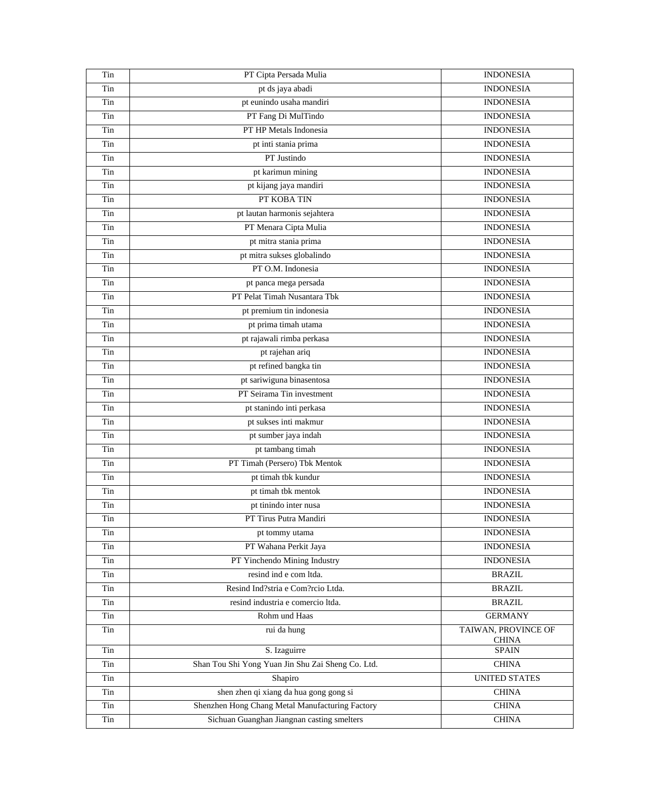| Tin | PT Cipta Persada Mulia                            | <b>INDONESIA</b>                    |
|-----|---------------------------------------------------|-------------------------------------|
| Tin | pt ds jaya abadi                                  | <b>INDONESIA</b>                    |
| Tin | pt eunindo usaha mandiri                          | <b>INDONESIA</b>                    |
| Tin | PT Fang Di MulTindo                               | <b>INDONESIA</b>                    |
| Tin | PT HP Metals Indonesia                            | <b>INDONESIA</b>                    |
| Tin | pt inti stania prima                              | <b>INDONESIA</b>                    |
| Tin | PT Justindo                                       | <b>INDONESIA</b>                    |
| Tin | pt karimun mining                                 | <b>INDONESIA</b>                    |
| Tin | pt kijang jaya mandiri                            | <b>INDONESIA</b>                    |
| Tin | PT KOBA TIN                                       | <b>INDONESIA</b>                    |
| Tin | pt lautan harmonis sejahtera                      | <b>INDONESIA</b>                    |
| Tin | PT Menara Cipta Mulia                             | <b>INDONESIA</b>                    |
| Tin | pt mitra stania prima                             | <b>INDONESIA</b>                    |
| Tin | pt mitra sukses globalindo                        | <b>INDONESIA</b>                    |
| Tin | PT O.M. Indonesia                                 | <b>INDONESIA</b>                    |
| Tin | pt panca mega persada                             | <b>INDONESIA</b>                    |
| Tin | PT Pelat Timah Nusantara Tbk                      | <b>INDONESIA</b>                    |
| Tin | pt premium tin indonesia                          | <b>INDONESIA</b>                    |
| Tin | pt prima timah utama                              | <b>INDONESIA</b>                    |
| Tin | pt rajawali rimba perkasa                         | <b>INDONESIA</b>                    |
| Tin | pt rajehan ariq                                   | <b>INDONESIA</b>                    |
| Tin | pt refined bangka tin                             | <b>INDONESIA</b>                    |
| Tin | pt sariwiguna binasentosa                         | <b>INDONESIA</b>                    |
| Tin | PT Seirama Tin investment                         | <b>INDONESIA</b>                    |
| Tin | pt stanindo inti perkasa                          | <b>INDONESIA</b>                    |
| Tin | pt sukses inti makmur                             | <b>INDONESIA</b>                    |
| Tin | pt sumber jaya indah                              | <b>INDONESIA</b>                    |
| Tin | pt tambang timah                                  | <b>INDONESIA</b>                    |
| Tin | PT Timah (Persero) Tbk Mentok                     | <b>INDONESIA</b>                    |
| Tin | pt timah tbk kundur                               | <b>INDONESIA</b>                    |
| Tin | pt timah tbk mentok                               | <b>INDONESIA</b>                    |
| Tin | pt tinindo inter nusa                             | <b>INDONESIA</b>                    |
| Tin | PT Tirus Putra Mandiri                            | <b>INDONESIA</b>                    |
| Tin | pt tommy utama                                    | <b>INDONESIA</b>                    |
| Tin | PT Wahana Perkit Jaya                             | <b>INDONESIA</b>                    |
| Tin | PT Yinchendo Mining Industry                      | <b>INDONESIA</b>                    |
| Tin | resind ind e com ltda.                            | <b>BRAZIL</b>                       |
| Tin | Resind Ind?stria e Com?rcio Ltda.                 | <b>BRAZIL</b>                       |
| Tin | resind industria e comercio ltda.                 | <b>BRAZIL</b>                       |
| Tin | Rohm und Haas                                     | <b>GERMANY</b>                      |
| Tin | rui da hung                                       | TAIWAN, PROVINCE OF<br><b>CHINA</b> |
| Tin | S. Izaguirre                                      | <b>SPAIN</b>                        |
| Tin | Shan Tou Shi Yong Yuan Jin Shu Zai Sheng Co. Ltd. | <b>CHINA</b>                        |
| Tin | Shapiro                                           | <b>UNITED STATES</b>                |
| Tin | shen zhen qi xiang da hua gong gong si            | <b>CHINA</b>                        |
| Tin | Shenzhen Hong Chang Metal Manufacturing Factory   | <b>CHINA</b>                        |
| Tin | Sichuan Guanghan Jiangnan casting smelters        | <b>CHINA</b>                        |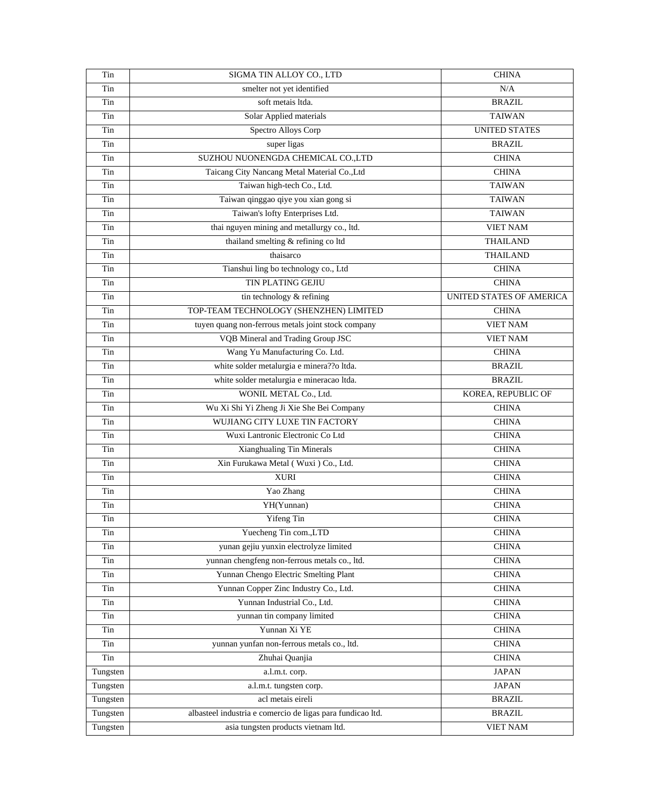| Tin      | SIGMA TIN ALLOY CO., LTD                                   | <b>CHINA</b>             |
|----------|------------------------------------------------------------|--------------------------|
| Tin      | smelter not yet identified                                 | N/A                      |
| Tin      | soft metais ltda.                                          | <b>BRAZIL</b>            |
| Tin      | Solar Applied materials                                    | <b>TAIWAN</b>            |
| Tin      | Spectro Alloys Corp                                        | <b>UNITED STATES</b>     |
| Tin      | super ligas                                                | <b>BRAZIL</b>            |
| Tin      | SUZHOU NUONENGDA CHEMICAL CO.,LTD                          | <b>CHINA</b>             |
| Tin      | Taicang City Nancang Metal Material Co., Ltd               | <b>CHINA</b>             |
| Tin      | Taiwan high-tech Co., Ltd.                                 | <b>TAIWAN</b>            |
| Tin      | Taiwan qinggao qiye you xian gong si                       | <b>TAIWAN</b>            |
| Tin      | Taiwan's lofty Enterprises Ltd.                            | <b>TAIWAN</b>            |
| Tin      | thai nguyen mining and metallurgy co., ltd.                | <b>VIET NAM</b>          |
| Tin      | thailand smelting & refining co ltd                        | <b>THAILAND</b>          |
| Tin      | thaisarco                                                  | <b>THAILAND</b>          |
| Tin      | Tianshui ling bo technology co., Ltd                       | <b>CHINA</b>             |
| Tin      | <b>TIN PLATING GEJIU</b>                                   | <b>CHINA</b>             |
| Tin      | tin technology & refining                                  | UNITED STATES OF AMERICA |
| Tin      | TOP-TEAM TECHNOLOGY (SHENZHEN) LIMITED                     | <b>CHINA</b>             |
| Tin      | tuyen quang non-ferrous metals joint stock company         | <b>VIET NAM</b>          |
| Tin      | VQB Mineral and Trading Group JSC                          | <b>VIET NAM</b>          |
| Tin      | Wang Yu Manufacturing Co. Ltd.                             | <b>CHINA</b>             |
| Tin      | white solder metalurgia e minera??o ltda.                  | <b>BRAZIL</b>            |
| Tin      | white solder metalurgia e mineracao ltda.                  | <b>BRAZIL</b>            |
| Tin      | WONIL METAL Co., Ltd.                                      | KOREA, REPUBLIC OF       |
| Tin      | Wu Xi Shi Yi Zheng Ji Xie She Bei Company                  | <b>CHINA</b>             |
| Tin      | WUJIANG CITY LUXE TIN FACTORY                              | <b>CHINA</b>             |
| Tin      | Wuxi Lantronic Electronic Co Ltd                           | <b>CHINA</b>             |
| Tin      | Xianghualing Tin Minerals                                  | <b>CHINA</b>             |
| Tin      | Xin Furukawa Metal (Wuxi) Co., Ltd.                        | <b>CHINA</b>             |
| Tin      | <b>XURI</b>                                                | <b>CHINA</b>             |
| Tin      | Yao Zhang                                                  | <b>CHINA</b>             |
| Tin      | YH(Yunnan)                                                 | <b>CHINA</b>             |
| Tin      | Yifeng Tin                                                 | <b>CHINA</b>             |
| Tin      | Yuecheng Tin com., LTD                                     | <b>CHINA</b>             |
| Tin      | yunan gejiu yunxin electrolyze limited                     | <b>CHINA</b>             |
| Tin      | yunnan chengfeng non-ferrous metals co., ltd.              | <b>CHINA</b>             |
| Tin      | Yunnan Chengo Electric Smelting Plant                      | <b>CHINA</b>             |
| Tin      | Yunnan Copper Zinc Industry Co., Ltd.                      | <b>CHINA</b>             |
|          | Yunnan Industrial Co., Ltd.                                |                          |
| Tin      |                                                            | <b>CHINA</b>             |
| Tin      | yunnan tin company limited                                 | <b>CHINA</b>             |
| Tin      | Yunnan Xi YE                                               | <b>CHINA</b>             |
| Tin      | yunnan yunfan non-ferrous metals co., ltd.                 | <b>CHINA</b>             |
| Tin      | Zhuhai Quanjia                                             | <b>CHINA</b>             |
| Tungsten | a.l.m.t. corp.                                             | <b>JAPAN</b>             |
| Tungsten | a.l.m.t. tungsten corp.                                    | <b>JAPAN</b>             |
| Tungsten | acl metais eireli                                          | <b>BRAZIL</b>            |
| Tungsten | albasteel industria e comercio de ligas para fundicao ltd. | <b>BRAZIL</b>            |
| Tungsten | asia tungsten products vietnam ltd.                        | <b>VIET NAM</b>          |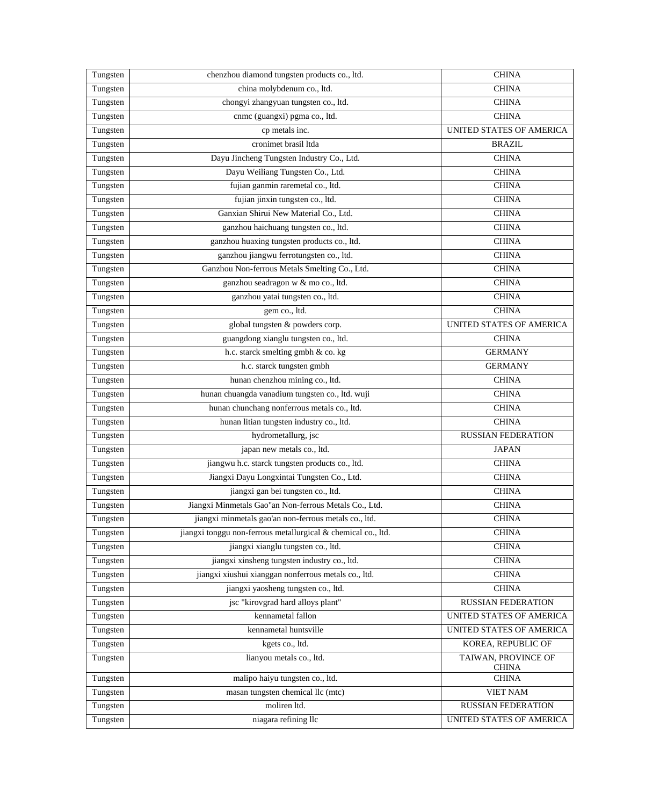| Tungsten | chenzhou diamond tungsten products co., ltd.                  | <b>CHINA</b>                        |
|----------|---------------------------------------------------------------|-------------------------------------|
| Tungsten | china molybdenum co., ltd.                                    | <b>CHINA</b>                        |
| Tungsten | chongyi zhangyuan tungsten co., ltd.                          | <b>CHINA</b>                        |
| Tungsten | cnmc (guangxi) pgma co., ltd.                                 | <b>CHINA</b>                        |
| Tungsten | cp metals inc.                                                | UNITED STATES OF AMERICA            |
| Tungsten | cronimet brasil ltda                                          | <b>BRAZIL</b>                       |
| Tungsten | Dayu Jincheng Tungsten Industry Co., Ltd.                     | <b>CHINA</b>                        |
| Tungsten | Dayu Weiliang Tungsten Co., Ltd.                              | <b>CHINA</b>                        |
| Tungsten | fujian ganmin raremetal co., ltd.                             | <b>CHINA</b>                        |
| Tungsten | fujian jinxin tungsten co., ltd.                              | <b>CHINA</b>                        |
| Tungsten | Ganxian Shirui New Material Co., Ltd.                         | <b>CHINA</b>                        |
| Tungsten | ganzhou haichuang tungsten co., ltd.                          | <b>CHINA</b>                        |
| Tungsten | ganzhou huaxing tungsten products co., ltd.                   | <b>CHINA</b>                        |
| Tungsten | ganzhou jiangwu ferrotungsten co., ltd.                       | <b>CHINA</b>                        |
| Tungsten | Ganzhou Non-ferrous Metals Smelting Co., Ltd.                 | <b>CHINA</b>                        |
| Tungsten | ganzhou seadragon w & mo co., ltd.                            | <b>CHINA</b>                        |
| Tungsten | ganzhou yatai tungsten co., ltd.                              | <b>CHINA</b>                        |
| Tungsten | gem co., ltd.                                                 | <b>CHINA</b>                        |
| Tungsten | global tungsten & powders corp.                               | UNITED STATES OF AMERICA            |
| Tungsten | guangdong xianglu tungsten co., ltd.                          | <b>CHINA</b>                        |
| Tungsten | h.c. starck smelting gmbh & co. kg                            | <b>GERMANY</b>                      |
| Tungsten | h.c. starck tungsten gmbh                                     | <b>GERMANY</b>                      |
| Tungsten | hunan chenzhou mining co., ltd.                               | <b>CHINA</b>                        |
| Tungsten | hunan chuangda vanadium tungsten co., ltd. wuji               | <b>CHINA</b>                        |
| Tungsten | hunan chunchang nonferrous metals co., ltd.                   | <b>CHINA</b>                        |
| Tungsten | hunan litian tungsten industry co., ltd.                      | <b>CHINA</b>                        |
| Tungsten | hydrometallurg, jsc                                           | <b>RUSSIAN FEDERATION</b>           |
| Tungsten | japan new metals co., ltd.                                    | <b>JAPAN</b>                        |
| Tungsten | jiangwu h.c. starck tungsten products co., ltd.               | <b>CHINA</b>                        |
| Tungsten | Jiangxi Dayu Longxintai Tungsten Co., Ltd.                    | <b>CHINA</b>                        |
| Tungsten | jiangxi gan bei tungsten co., ltd.                            | <b>CHINA</b>                        |
| Tungsten | Jiangxi Minmetals Gao"an Non-ferrous Metals Co., Ltd.         | <b>CHINA</b>                        |
| Tungsten | jiangxi minmetals gao'an non-ferrous metals co., ltd.         | <b>CHINA</b>                        |
| Tungsten | jiangxi tonggu non-ferrous metallurgical & chemical co., ltd. | <b>CHINA</b>                        |
| Tungsten | jiangxi xianglu tungsten co., ltd.                            | <b>CHINA</b>                        |
| Tungsten | jiangxi xinsheng tungsten industry co., ltd.                  | <b>CHINA</b>                        |
| Tungsten | jiangxi xiushui xianggan nonferrous metals co., ltd.          | <b>CHINA</b>                        |
| Tungsten | jiangxi yaosheng tungsten co., ltd.                           | <b>CHINA</b>                        |
| Tungsten | jsc "kirovgrad hard alloys plant"                             | <b>RUSSIAN FEDERATION</b>           |
| Tungsten | kennametal fallon                                             | UNITED STATES OF AMERICA            |
| Tungsten | kennametal huntsville                                         | UNITED STATES OF AMERICA            |
| Tungsten | kgets co., ltd.                                               | KOREA, REPUBLIC OF                  |
| Tungsten | lianyou metals co., ltd.                                      | TAIWAN, PROVINCE OF<br><b>CHINA</b> |
| Tungsten | malipo haiyu tungsten co., ltd.                               | <b>CHINA</b>                        |
| Tungsten | masan tungsten chemical llc (mtc)                             | VIET NAM                            |
| Tungsten | moliren ltd.                                                  | <b>RUSSIAN FEDERATION</b>           |
| Tungsten | niagara refining llc                                          | UNITED STATES OF AMERICA            |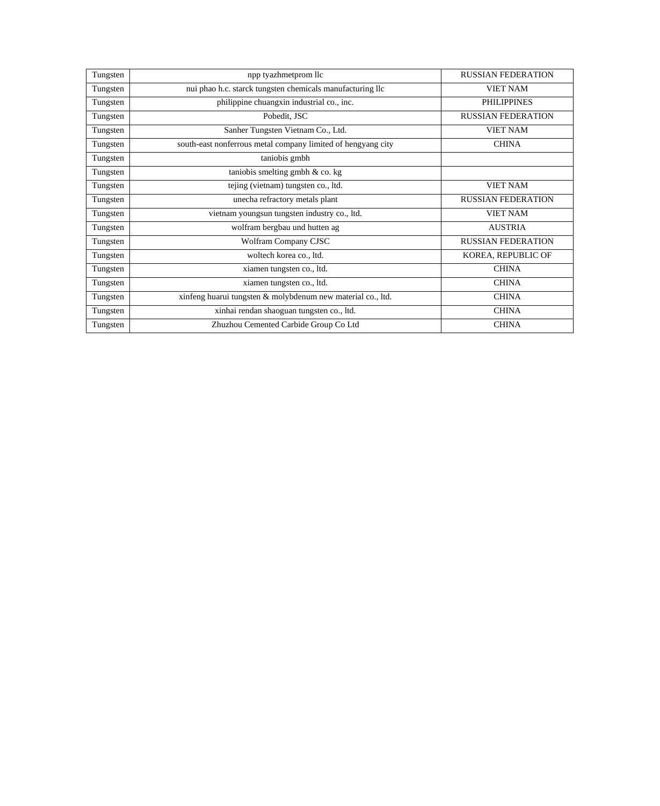| Tungsten | npp tyazhmetprom llc                                         | <b>RUSSIAN FEDERATION</b> |
|----------|--------------------------------------------------------------|---------------------------|
| Tungsten | nui phao h.c. starck tungsten chemicals manufacturing llc    | <b>VIET NAM</b>           |
| Tungsten | philippine chuangxin industrial co., inc.                    | <b>PHILIPPINES</b>        |
| Tungsten | Pobedit, JSC                                                 | <b>RUSSIAN FEDERATION</b> |
| Tungsten | Sanher Tungsten Vietnam Co., Ltd.                            | <b>VIET NAM</b>           |
| Tungsten | south-east nonferrous metal company limited of hengyang city | <b>CHINA</b>              |
| Tungsten | taniobis gmbh                                                |                           |
| Tungsten | taniobis smelting gmbh $\&$ co. kg                           |                           |
| Tungsten | tejing (vietnam) tungsten co., ltd.                          | <b>VIET NAM</b>           |
| Tungsten | unecha refractory metals plant                               | <b>RUSSIAN FEDERATION</b> |
| Tungsten | vietnam youngsun tungsten industry co., ltd.                 | <b>VIET NAM</b>           |
| Tungsten | wolfram bergbau und hutten ag                                | <b>AUSTRIA</b>            |
| Tungsten | Wolfram Company CJSC                                         | <b>RUSSIAN FEDERATION</b> |
| Tungsten | woltech korea co., ltd.                                      | KOREA, REPUBLIC OF        |
| Tungsten | xiamen tungsten co., ltd.                                    | <b>CHINA</b>              |
| Tungsten | xiamen tungsten co., ltd.                                    | <b>CHINA</b>              |
| Tungsten | xinfeng huarui tungsten & molybdenum new material co., ltd.  | <b>CHINA</b>              |
| Tungsten | xinhai rendan shaoguan tungsten co., ltd.                    | <b>CHINA</b>              |
| Tungsten | Zhuzhou Cemented Carbide Group Co Ltd                        | <b>CHINA</b>              |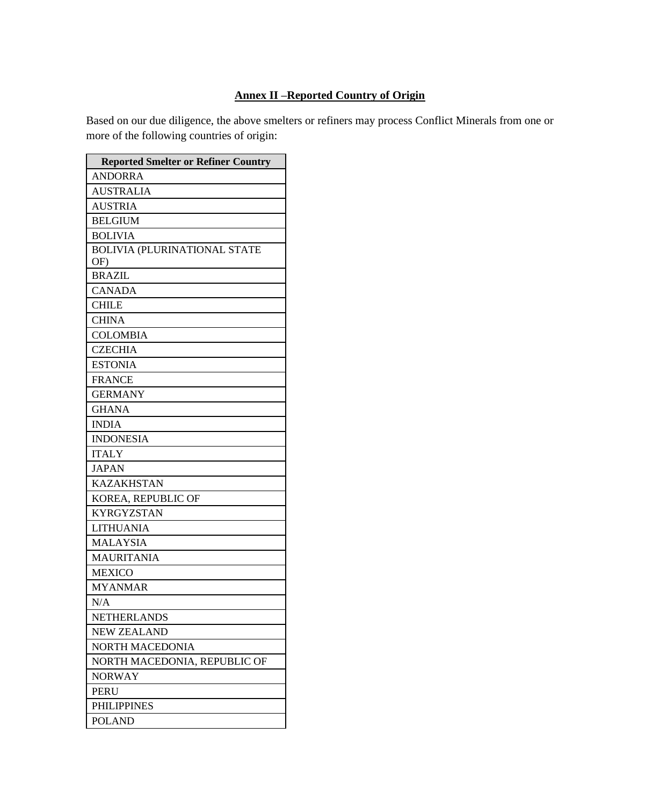# **Annex II –Reported Country of Origin**

Based on our due diligence, the above smelters or refiners may process Conflict Minerals from one or more of the following countries of origin:

| <b>Reported Smelter or Refiner Country</b> |
|--------------------------------------------|
| <b>ANDORRA</b>                             |
| <b>AUSTRALIA</b>                           |
| <b>AUSTRIA</b>                             |
| <b>BELGIUM</b>                             |
| <b>BOLIVIA</b>                             |
| <b>BOLIVIA (PLURINATIONAL STATE</b><br>OF) |
| <b>BRAZIL</b>                              |
| <b>CANADA</b>                              |
| <b>CHILE</b>                               |
| <b>CHINA</b>                               |
| <b>COLOMBIA</b>                            |
| <b>CZECHIA</b>                             |
| <b>ESTONIA</b>                             |
| <b>FRANCE</b>                              |
| <b>GERMANY</b>                             |
| <b>GHANA</b>                               |
| <b>INDIA</b>                               |
| <b>INDONESIA</b>                           |
| <b>ITALY</b>                               |
| <b>JAPAN</b>                               |
| <b>KAZAKHSTAN</b>                          |
| KOREA, REPUBLIC OF                         |
| <b>KYRGYZSTAN</b>                          |
| <b>LITHUANIA</b>                           |
| <b>MALAYSIA</b>                            |
| <b>MAURITANIA</b>                          |
| <b>MEXICO</b>                              |
| <b>MYANMAR</b>                             |
| N/A                                        |
| <b>NETHERLANDS</b>                         |
| <b>NEW ZEALAND</b>                         |
| <b>NORTH MACEDONIA</b>                     |
| NORTH MACEDONIA, REPUBLIC OF               |
| <b>NORWAY</b>                              |
| <b>PERU</b>                                |
| <b>PHILIPPINES</b>                         |
| <b>POLAND</b>                              |